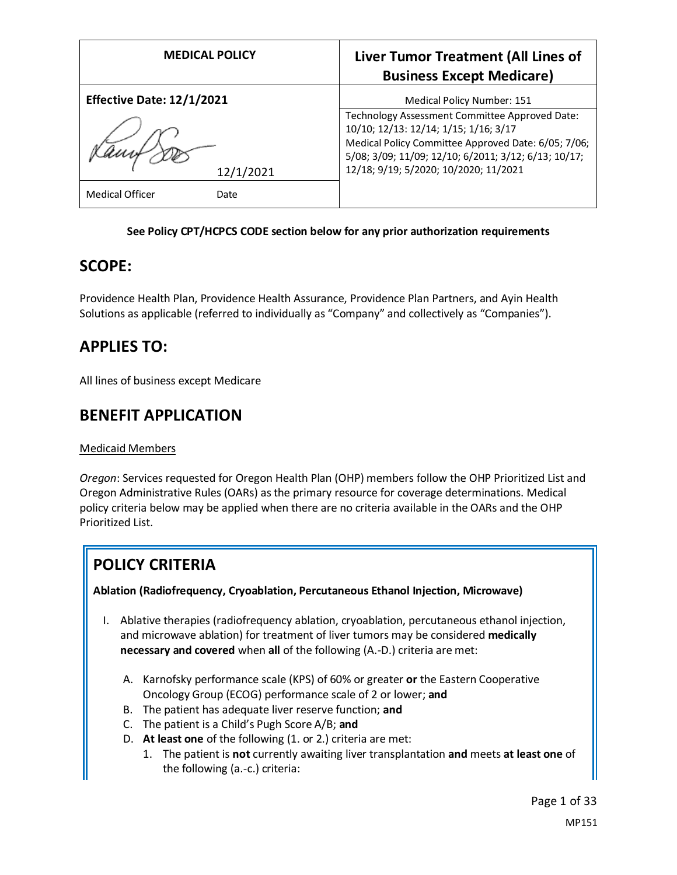| <b>MEDICAL POLICY</b>            | Liver Tumor Treatment (All Lines of<br><b>Business Except Medicare)</b>                                                                                                                                                                         |
|----------------------------------|-------------------------------------------------------------------------------------------------------------------------------------------------------------------------------------------------------------------------------------------------|
| <b>Effective Date: 12/1/2021</b> | Medical Policy Number: 151                                                                                                                                                                                                                      |
| 12/1/2021                        | Technology Assessment Committee Approved Date:<br>10/10; 12/13: 12/14; 1/15; 1/16; 3/17<br>Medical Policy Committee Approved Date: 6/05; 7/06;<br>5/08; 3/09; 11/09; 12/10; 6/2011; 3/12; 6/13; 10/17;<br>12/18; 9/19; 5/2020; 10/2020; 11/2021 |
| <b>Medical Officer</b><br>Date   |                                                                                                                                                                                                                                                 |

#### **See Policy CPT/HCPCS CODE section below for any prior authorization requirements**

## **SCOPE:**

Providence Health Plan, Providence Health Assurance, Providence Plan Partners, and Ayin Health Solutions as applicable (referred to individually as "Company" and collectively as "Companies").

## **APPLIES TO:**

All lines of business except Medicare

## **BENEFIT APPLICATION**

#### Medicaid Members

*Oregon*: Services requested for Oregon Health Plan (OHP) members follow the OHP Prioritized List and Oregon Administrative Rules (OARs) as the primary resource for coverage determinations. Medical policy criteria below may be applied when there are no criteria available in the OARs and the OHP Prioritized List.

# **POLICY CRITERIA**

#### **Ablation (Radiofrequency, Cryoablation, Percutaneous Ethanol Injection, Microwave)**

- I. Ablative therapies (radiofrequency ablation, cryoablation, percutaneous ethanol injection, and microwave ablation) for treatment of liver tumors may be considered **medically necessary and covered** when **all** of the following (A.-D.) criteria are met:
	- A. Karnofsky performance scale (KPS) of 60% or greater **or** the Eastern Cooperative Oncology Group (ECOG) performance scale of 2 or lower; **and**
	- B. The patient has adequate liver reserve function; **and**
	- C. The patient is a Child's Pugh Score A/B; **and**
	- D. **At least one** of the following (1. or 2.) criteria are met:
		- 1. The patient is **not** currently awaiting liver transplantation **and** meets **at least one** of the following (a.-c.) criteria: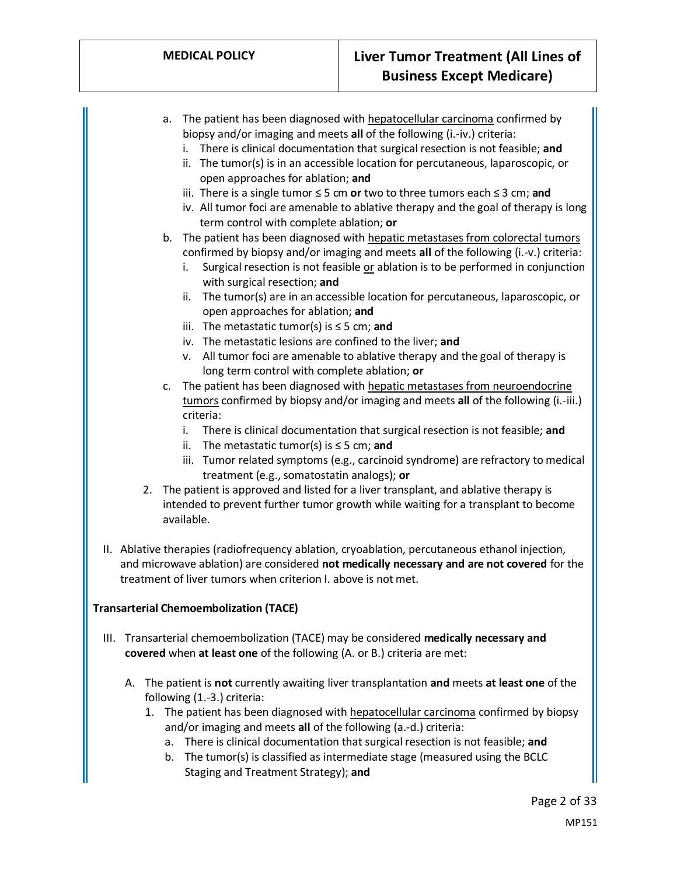- a. The patient has been diagnosed with hepatocellular carcinoma confirmed by biopsy and/or imaging and meets **all** of the following (i.-iv.) criteria:
	- i. There is clinical documentation that surgical resection is not feasible; **and**
	- ii. The tumor(s) is in an accessible location for percutaneous, laparoscopic, or open approaches for ablation; **and**
	- iii. There is a single tumor ≤ 5 cm **or** two to three tumors each ≤ 3 cm; **and**
	- iv. All tumor foci are amenable to ablative therapy and the goal of therapy is long term control with complete ablation; **or**

### b. The patient has been diagnosed with hepatic metastases from colorectal tumors confirmed by biopsy and/or imaging and meets **all** of the following (i.-v.) criteria:

- i. Surgical resection is not feasible or ablation is to be performed in conjunction with surgical resection; **and**
- ii. The tumor(s) are in an accessible location for percutaneous, laparoscopic, or open approaches for ablation; **and**
- iii. The metastatic tumor(s) is ≤ 5 cm; **and**
- iv. The metastatic lesions are confined to the liver; **and**
- v. All tumor foci are amenable to ablative therapy and the goal of therapy is long term control with complete ablation; **or**
- c. The patient has been diagnosed with hepatic metastases from neuroendocrine tumors confirmed by biopsy and/or imaging and meets **all** of the following (i.-iii.) criteria:
	- i. There is clinical documentation that surgical resection is not feasible; **and**
	- ii. The metastatic tumor(s) is ≤ 5 cm; **and**
	- iii. Tumor related symptoms (e.g., carcinoid syndrome) are refractory to medical treatment (e.g., somatostatin analogs); **or**
- 2. The patient is approved and listed for a liver transplant, and ablative therapy is intended to prevent further tumor growth while waiting for a transplant to become available.
- II. Ablative therapies (radiofrequency ablation, cryoablation, percutaneous ethanol injection, and microwave ablation) are considered **not medically necessary and are not covered** for the treatment of liver tumors when criterion I. above is not met.

#### **Transarterial Chemoembolization (TACE)**

- III. Transarterial chemoembolization (TACE) may be considered **medically necessary and covered** when **at least one** of the following (A. or B.) criteria are met:
	- A. The patient is **not** currently awaiting liver transplantation **and** meets **at least one** of the following (1.-3.) criteria:
		- 1. The patient has been diagnosed with hepatocellular carcinoma confirmed by biopsy and/or imaging and meets **all** of the following (a.-d.) criteria:
			- a. There is clinical documentation that surgical resection is not feasible; **and**
			- b. The tumor(s) is classified as intermediate stage (measured using the BCLC Staging and Treatment Strategy); **and**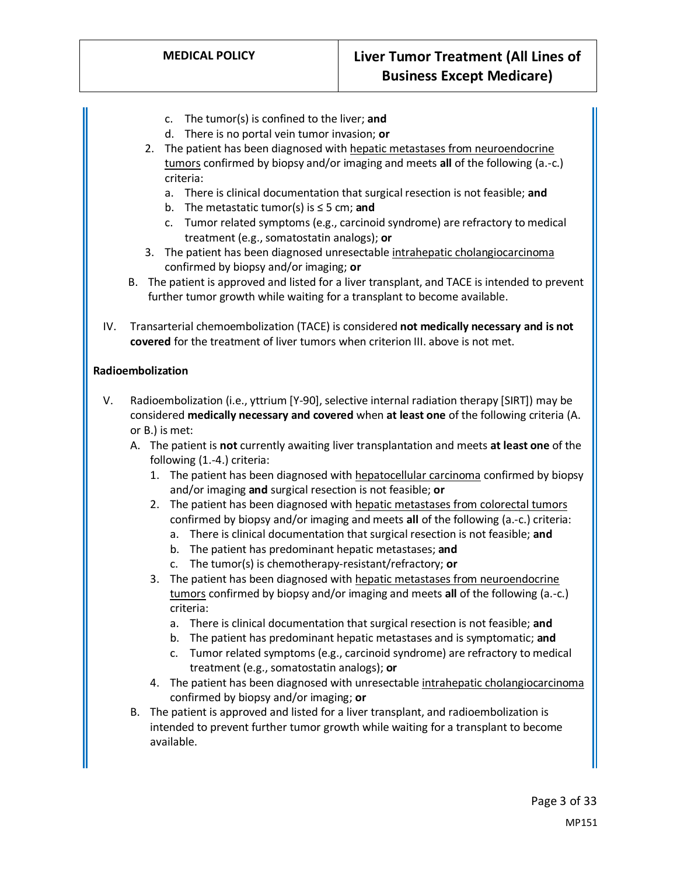- c. The tumor(s) is confined to the liver; **and**
- d. There is no portal vein tumor invasion; **or**
- 2. The patient has been diagnosed with hepatic metastases from neuroendocrine tumors confirmed by biopsy and/or imaging and meets **all** of the following (a.-c.) criteria:
	- a. There is clinical documentation that surgical resection is not feasible; **and**
	- b. The metastatic tumor(s) is ≤ 5 cm; **and**
	- c. Tumor related symptoms (e.g., carcinoid syndrome) are refractory to medical treatment (e.g., somatostatin analogs); **or**
- 3. The patient has been diagnosed unresectable intrahepatic cholangiocarcinoma confirmed by biopsy and/or imaging; **or**
- B. The patient is approved and listed for a liver transplant, and TACE is intended to prevent further tumor growth while waiting for a transplant to become available.
- IV. Transarterial chemoembolization (TACE) is considered **not medically necessary and is not covered** for the treatment of liver tumors when criterion III. above is not met.

#### **Radioembolization**

- V. Radioembolization (i.e., yttrium [Y-90], selective internal radiation therapy [SIRT]) may be considered **medically necessary and covered** when **at least one** of the following criteria (A. or B.) is met:
	- A. The patient is **not** currently awaiting liver transplantation and meets **at least one** of the following (1.-4.) criteria:
		- 1. The patient has been diagnosed with hepatocellular carcinoma confirmed by biopsy and/or imaging **and** surgical resection is not feasible; **or**
		- 2. The patient has been diagnosed with hepatic metastases from colorectal tumors confirmed by biopsy and/or imaging and meets **all** of the following (a.-c.) criteria:
			- a. There is clinical documentation that surgical resection is not feasible; **and**
			- b. The patient has predominant hepatic metastases; **and**
			- c. The tumor(s) is chemotherapy-resistant/refractory; **or**
		- 3. The patient has been diagnosed with hepatic metastases from neuroendocrine tumors confirmed by biopsy and/or imaging and meets **all** of the following (a.-c.) criteria:
			- a. There is clinical documentation that surgical resection is not feasible; **and**
			- b. The patient has predominant hepatic metastases and is symptomatic; **and**
			- c. Tumor related symptoms (e.g., carcinoid syndrome) are refractory to medical treatment (e.g., somatostatin analogs); **or**
		- 4. The patient has been diagnosed with unresectable intrahepatic cholangiocarcinoma confirmed by biopsy and/or imaging; **or**
	- B. The patient is approved and listed for a liver transplant, and radioembolization is intended to prevent further tumor growth while waiting for a transplant to become available.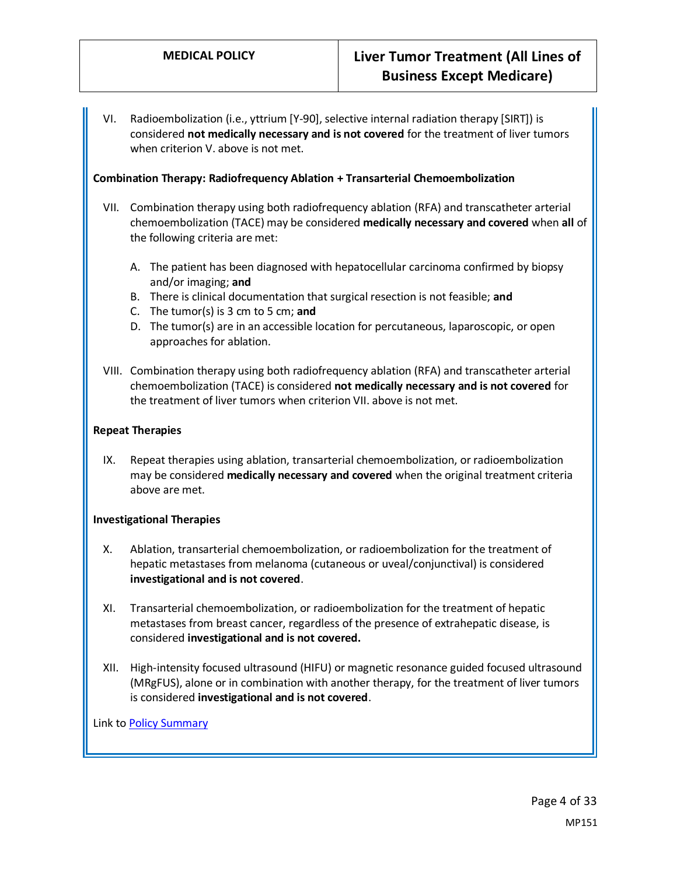VI. Radioembolization (i.e., yttrium [Y-90], selective internal radiation therapy [SIRT]) is considered **not medically necessary and is not covered** for the treatment of liver tumors when criterion V. above is not met.

#### **Combination Therapy: Radiofrequency Ablation + Transarterial Chemoembolization**

- VII. Combination therapy using both radiofrequency ablation (RFA) and transcatheter arterial chemoembolization (TACE) may be considered **medically necessary and covered** when **all** of the following criteria are met:
	- A. The patient has been diagnosed with hepatocellular carcinoma confirmed by biopsy and/or imaging; **and**
	- B. There is clinical documentation that surgical resection is not feasible; **and**
	- C. The tumor(s) is 3 cm to 5 cm; **and**
	- D. The tumor(s) are in an accessible location for percutaneous, laparoscopic, or open approaches for ablation.
- VIII. Combination therapy using both radiofrequency ablation (RFA) and transcatheter arterial chemoembolization (TACE) is considered **not medically necessary and is not covered** for the treatment of liver tumors when criterion VII. above is not met.

#### **Repeat Therapies**

IX. Repeat therapies using ablation, transarterial chemoembolization, or radioembolization may be considered **medically necessary and covered** when the original treatment criteria above are met.

#### **Investigational Therapies**

- X. Ablation, transarterial chemoembolization, or radioembolization for the treatment of hepatic metastases from melanoma (cutaneous or uveal/conjunctival) is considered **investigational and is not covered**.
- XI. Transarterial chemoembolization, or radioembolization for the treatment of hepatic metastases from breast cancer, regardless of the presence of extrahepatic disease, is considered **investigational and is not covered.**
- XII. High-intensity focused ultrasound (HIFU) or magnetic resonance guided focused ultrasound (MRgFUS), alone or in combination with another therapy, for the treatment of liver tumors is considered **investigational and is not covered**.

Link t[o Policy Summary](#page-25-0)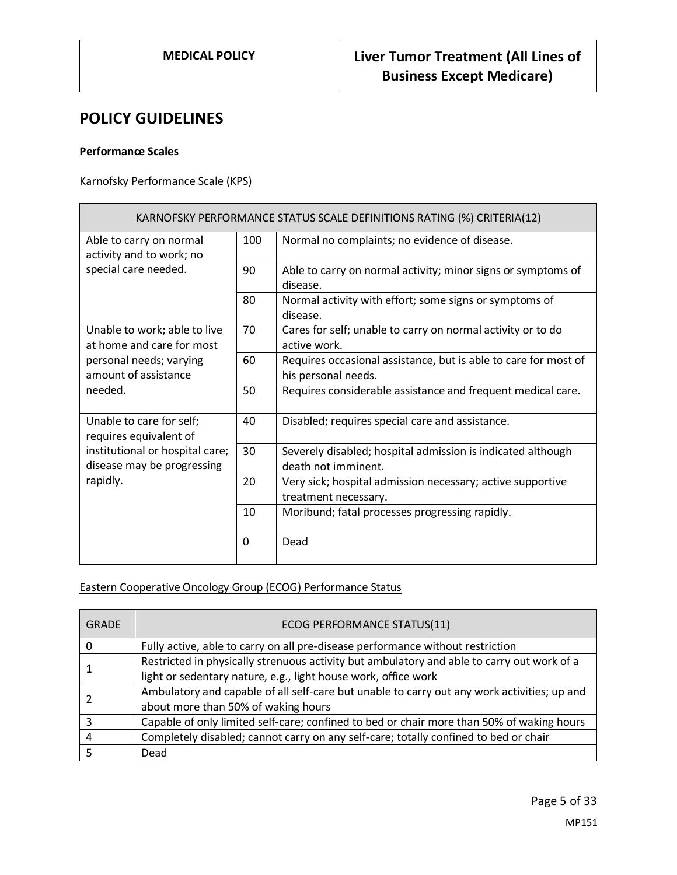## **POLICY GUIDELINES**

#### **Performance Scales**

## Karnofsky Performance Scale (KPS)

| KARNOFSKY PERFORMANCE STATUS SCALE DEFINITIONS RATING (%) CRITERIA(12)                                       |          |                                                                                        |  |
|--------------------------------------------------------------------------------------------------------------|----------|----------------------------------------------------------------------------------------|--|
| Able to carry on normal<br>activity and to work; no                                                          | 100      | Normal no complaints; no evidence of disease.                                          |  |
| special care needed.                                                                                         | 90       | Able to carry on normal activity; minor signs or symptoms of<br>disease.               |  |
|                                                                                                              | 80       | Normal activity with effort; some signs or symptoms of<br>disease.                     |  |
| Unable to work; able to live<br>at home and care for most<br>personal needs; varying<br>amount of assistance | 70       | Cares for self; unable to carry on normal activity or to do<br>active work.            |  |
|                                                                                                              | 60       | Requires occasional assistance, but is able to care for most of<br>his personal needs. |  |
| needed.                                                                                                      | 50       | Requires considerable assistance and frequent medical care.                            |  |
| Unable to care for self;<br>requires equivalent of                                                           | 40       | Disabled; requires special care and assistance.                                        |  |
| institutional or hospital care;<br>disease may be progressing                                                | 30       | Severely disabled; hospital admission is indicated although<br>death not imminent.     |  |
| rapidly.                                                                                                     | 20       | Very sick; hospital admission necessary; active supportive<br>treatment necessary.     |  |
|                                                                                                              | 10       | Moribund; fatal processes progressing rapidly.                                         |  |
|                                                                                                              | $\Omega$ | Dead                                                                                   |  |

#### Eastern Cooperative Oncology Group (ECOG) Performance Status

| <b>GRADE</b> | ECOG PERFORMANCE STATUS(11)                                                                 |
|--------------|---------------------------------------------------------------------------------------------|
|              | Fully active, able to carry on all pre-disease performance without restriction              |
|              | Restricted in physically strenuous activity but ambulatory and able to carry out work of a  |
|              | light or sedentary nature, e.g., light house work, office work                              |
|              | Ambulatory and capable of all self-care but unable to carry out any work activities; up and |
|              | about more than 50% of waking hours                                                         |
|              | Capable of only limited self-care; confined to bed or chair more than 50% of waking hours   |
| 4            | Completely disabled; cannot carry on any self-care; totally confined to bed or chair        |
|              | Dead                                                                                        |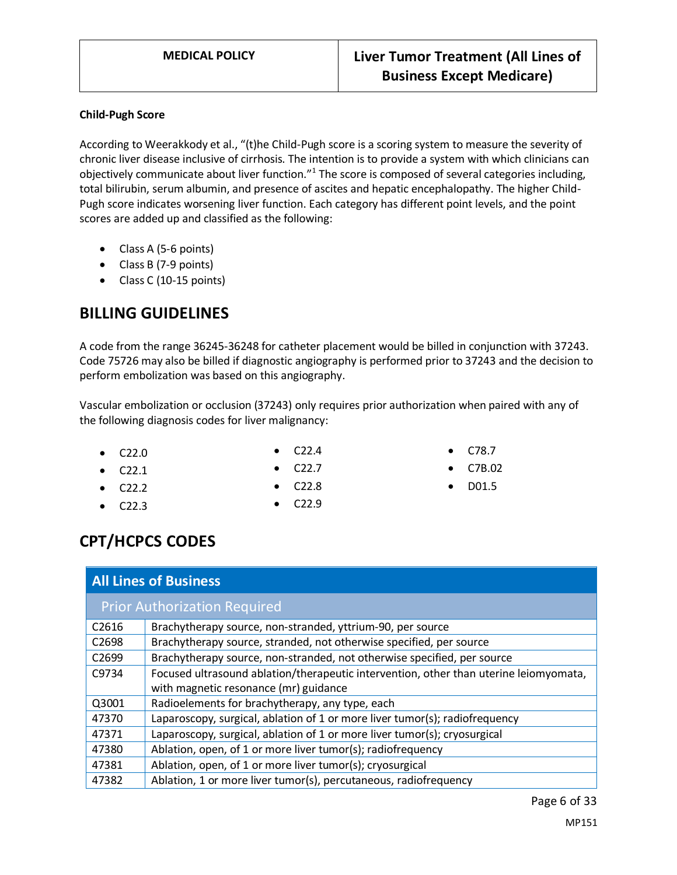#### **Child-Pugh Score**

According to Weerakkody et al., "(t)he Child-Pugh score is a scoring system to measure the severity of chronic liver disease inclusive of cirrhosis. The intention is to provide a system with which clinicians can objectively communicate about liver function."<sup>1</sup> The score is composed of several categories including, total bilirubin, serum albumin, and presence of ascites and hepatic encephalopathy. The higher Child-Pugh score indicates worsening liver function. Each category has different point levels, and the point scores are added up and classified as the following:

- Class A (5-6 points)
- Class B (7-9 points)
- Class C (10-15 points)

# **BILLING GUIDELINES**

A code from the range 36245-36248 for catheter placement would be billed in conjunction with 37243. Code 75726 may also be billed if diagnostic angiography is performed prior to 37243 and the decision to perform embolization was based on this angiography.

Vascular embolization or occlusion (37243) only requires prior authorization when paired with any of the following diagnosis codes for liver malignancy:

• C22.0

 $\bullet$  C22.2

- C22.1
- C22.4 • C22.7
- C78.7
- C7B.02
- D01.5

• C22.3

- C22.8 • C22.9
- **CPT/HCPCS CODES**

| <b>All Lines of Business</b>        |                                                                                       |  |
|-------------------------------------|---------------------------------------------------------------------------------------|--|
| <b>Prior Authorization Required</b> |                                                                                       |  |
| C <sub>2616</sub>                   | Brachytherapy source, non-stranded, yttrium-90, per source                            |  |
| C <sub>2698</sub>                   | Brachytherapy source, stranded, not otherwise specified, per source                   |  |
| C <sub>2699</sub>                   | Brachytherapy source, non-stranded, not otherwise specified, per source               |  |
| C9734                               | Focused ultrasound ablation/therapeutic intervention, other than uterine leiomyomata, |  |
|                                     | with magnetic resonance (mr) guidance                                                 |  |
| Q3001                               | Radioelements for brachytherapy, any type, each                                       |  |
| 47370                               | Laparoscopy, surgical, ablation of 1 or more liver tumor(s); radiofrequency           |  |
| 47371                               | Laparoscopy, surgical, ablation of 1 or more liver tumor(s); cryosurgical             |  |
| 47380                               | Ablation, open, of 1 or more liver tumor(s); radiofrequency                           |  |
| 47381                               | Ablation, open, of 1 or more liver tumor(s); cryosurgical                             |  |
| 47382                               | Ablation, 1 or more liver tumor(s), percutaneous, radiofrequency                      |  |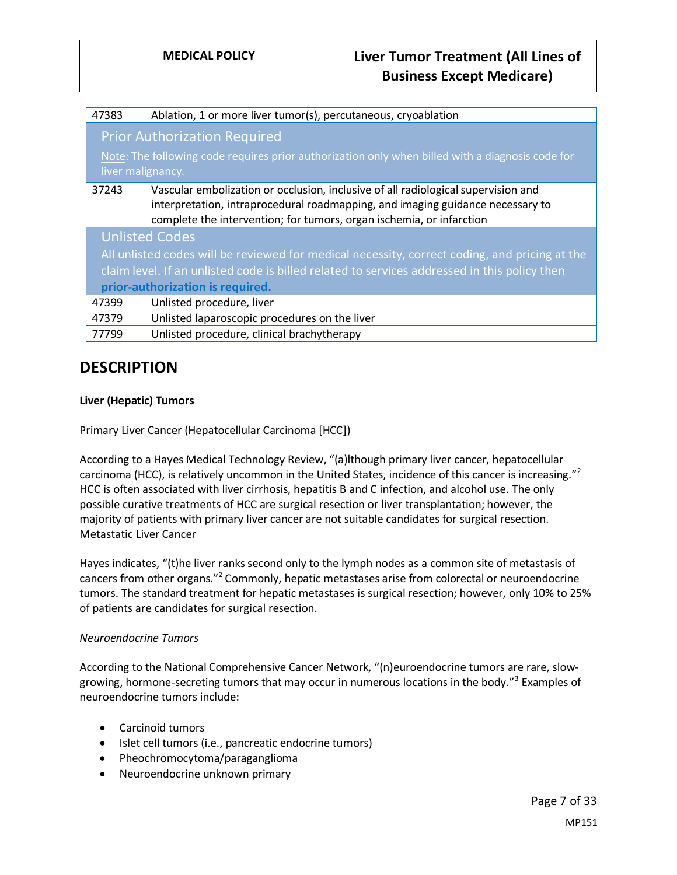| 47383                                                                                            | Ablation, 1 or more liver tumor(s), percutaneous, cryoablation                    |  |
|--------------------------------------------------------------------------------------------------|-----------------------------------------------------------------------------------|--|
| <b>Prior Authorization Required</b>                                                              |                                                                                   |  |
| Note: The following code requires prior authorization only when billed with a diagnosis code for |                                                                                   |  |
| liver malignancy.                                                                                |                                                                                   |  |
| 37243                                                                                            | Vascular embolization or occlusion, inclusive of all radiological supervision and |  |
|                                                                                                  | interpretation, intraprocedural roadmapping, and imaging guidance necessary to    |  |
|                                                                                                  | complete the intervention; for tumors, organ ischemia, or infarction              |  |
| <b>Unlisted Codes</b>                                                                            |                                                                                   |  |
| All unlisted codes will be reviewed for medical necessity, correct coding, and pricing at the    |                                                                                   |  |
| claim level. If an unlisted code is billed related to services addressed in this policy then     |                                                                                   |  |
| prior-authorization is required.                                                                 |                                                                                   |  |
| 47399                                                                                            | Unlisted procedure, liver                                                         |  |
| 47379                                                                                            | Unlisted laparoscopic procedures on the liver                                     |  |
| 77799                                                                                            | Unlisted procedure, clinical brachytherapy                                        |  |
|                                                                                                  |                                                                                   |  |

## **DESCRIPTION**

#### **Liver (Hepatic) Tumors**

#### Primary Liver Cancer (Hepatocellular Carcinoma [HCC])

According to a Hayes Medical Technology Review, "(a)lthough primary liver cancer, hepatocellular carcinoma (HCC), is relatively uncommon in the United States, incidence of this cancer is increasing."<sup>2</sup> HCC is often associated with liver cirrhosis, hepatitis B and C infection, and alcohol use. The only possible curative treatments of HCC are surgical resection or liver transplantation; however, the majority of patients with primary liver cancer are not suitable candidates for surgical resection. Metastatic Liver Cancer

Hayes indicates, "(t)he liver ranks second only to the lymph nodes as a common site of metastasis of cancers from other organs."<sup>2</sup> Commonly, hepatic metastases arise from colorectal or neuroendocrine tumors. The standard treatment for hepatic metastases is surgical resection; however, only 10% to 25% of patients are candidates for surgical resection.

#### *Neuroendocrine Tumors*

According to the National Comprehensive Cancer Network, "(n)euroendocrine tumors are rare, slowgrowing, hormone-secreting tumors that may occur in numerous locations in the body."<sup>3</sup> Examples of neuroendocrine tumors include:

- Carcinoid tumors
- Islet cell tumors (i.e., pancreatic endocrine tumors)
- Pheochromocytoma/paraganglioma
- Neuroendocrine unknown primary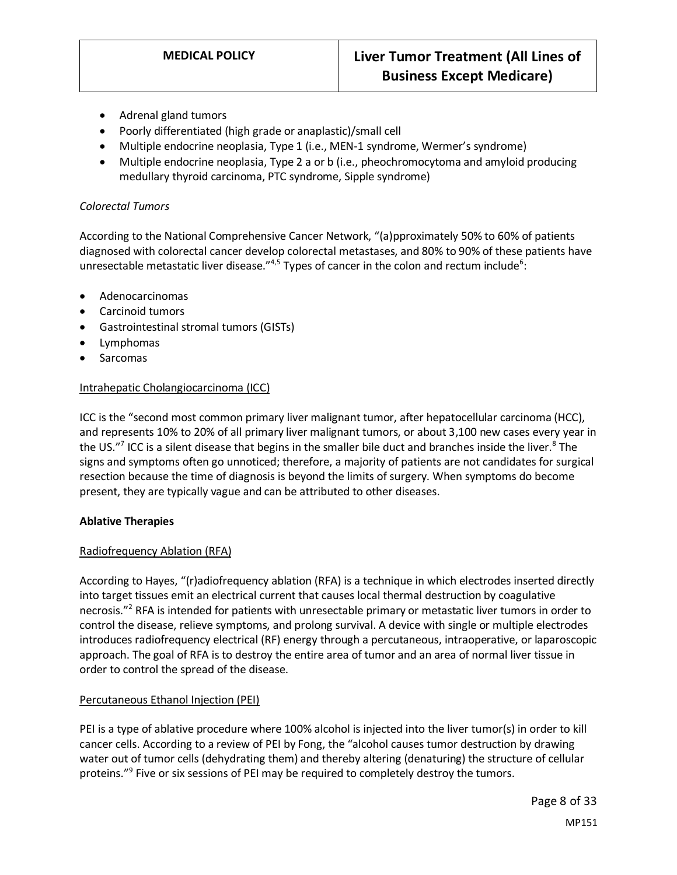- Adrenal gland tumors
- Poorly differentiated (high grade or anaplastic)/small cell
- Multiple endocrine neoplasia, Type 1 (i.e., MEN-1 syndrome, Wermer's syndrome)
- Multiple endocrine neoplasia, Type 2 a or b (i.e., pheochromocytoma and amyloid producing medullary thyroid carcinoma, PTC syndrome, Sipple syndrome)

#### *Colorectal Tumors*

According to the National Comprehensive Cancer Network, "(a)pproximately 50% to 60% of patients diagnosed with colorectal cancer develop colorectal metastases, and 80% to 90% of these patients have unresectable metastatic liver disease."<sup>4,5</sup> Types of cancer in the colon and rectum include<sup>6</sup>:

- Adenocarcinomas
- Carcinoid tumors
- Gastrointestinal stromal tumors (GISTs)
- Lymphomas
- **Sarcomas**

#### Intrahepatic Cholangiocarcinoma (ICC)

ICC is the "second most common primary liver malignant tumor, after hepatocellular carcinoma (HCC), and represents 10% to 20% of all primary liver malignant tumors, or about 3,100 new cases every year in the US."<sup>7</sup> ICC is a silent disease that begins in the smaller bile duct and branches inside the liver.<sup>8</sup> The signs and symptoms often go unnoticed; therefore, a majority of patients are not candidates for surgical resection because the time of diagnosis is beyond the limits of surgery. When symptoms do become present, they are typically vague and can be attributed to other diseases.

#### **Ablative Therapies**

#### Radiofrequency Ablation (RFA)

According to Hayes, "(r)adiofrequency ablation (RFA) is a technique in which electrodes inserted directly into target tissues emit an electrical current that causes local thermal destruction by coagulative necrosis."<sup>2</sup> RFA is intended for patients with unresectable primary or metastatic liver tumors in order to control the disease, relieve symptoms, and prolong survival. A device with single or multiple electrodes introduces radiofrequency electrical (RF) energy through a percutaneous, intraoperative, or laparoscopic approach. The goal of RFA is to destroy the entire area of tumor and an area of normal liver tissue in order to control the spread of the disease.

#### Percutaneous Ethanol Injection (PEI)

PEI is a type of ablative procedure where 100% alcohol is injected into the liver tumor(s) in order to kill cancer cells. According to a review of PEI by Fong, the "alcohol causes tumor destruction by drawing water out of tumor cells (dehydrating them) and thereby altering (denaturing) the structure of cellular proteins."<sup>9</sup> Five or six sessions of PEI may be required to completely destroy the tumors.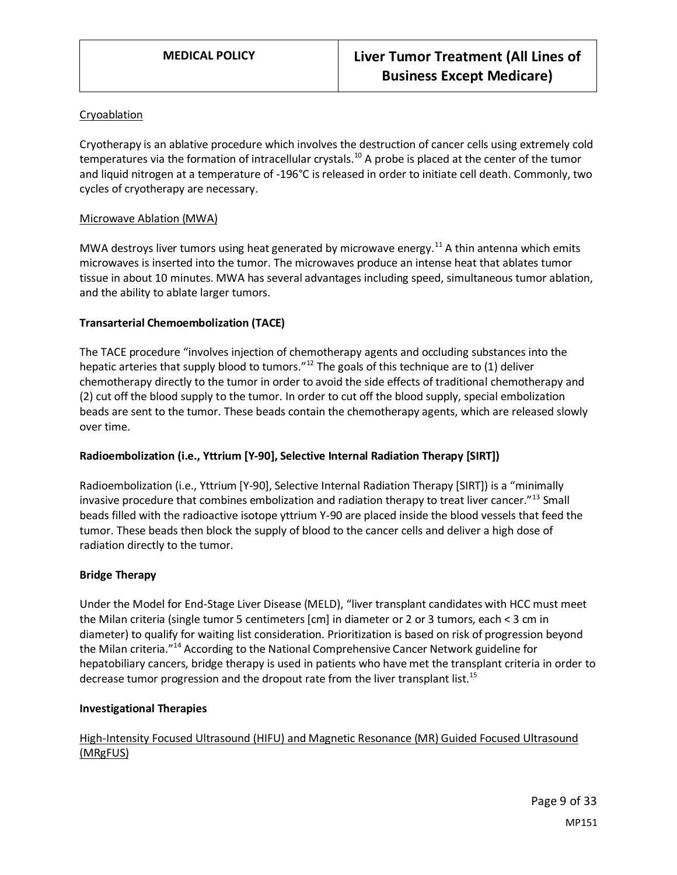#### Cryoablation

Cryotherapy is an ablative procedure which involves the destruction of cancer cells using extremely cold temperatures via the formation of intracellular crystals.<sup>10</sup> A probe is placed at the center of the tumor and liquid nitrogen at a temperature of -196°C is released in order to initiate cell death. Commonly, two cycles of cryotherapy are necessary.

#### Microwave Ablation (MWA)

MWA destroys liver tumors using heat generated by microwave energy.<sup>11</sup> A thin antenna which emits microwaves is inserted into the tumor. The microwaves produce an intense heat that ablates tumor tissue in about 10 minutes. MWA has several advantages including speed, simultaneous tumor ablation, and the ability to ablate larger tumors.

#### **Transarterial Chemoembolization (TACE)**

The TACE procedure "involves injection of chemotherapy agents and occluding substances into the hepatic arteries that supply blood to tumors."<sup>12</sup> The goals of this technique are to (1) deliver chemotherapy directly to the tumor in order to avoid the side effects of traditional chemotherapy and (2) cut off the blood supply to the tumor. In order to cut off the blood supply, special embolization beads are sent to the tumor. These beads contain the chemotherapy agents, which are released slowly over time.

#### **Radioembolization (i.e., Yttrium [Y-90], Selective Internal Radiation Therapy [SIRT])**

Radioembolization (i.e., Yttrium [Y-90], Selective Internal Radiation Therapy [SIRT]) is a "minimally invasive procedure that combines embolization and radiation therapy to treat liver cancer."<sup>13</sup> Small beads filled with the radioactive isotope yttrium Y-90 are placed inside the blood vessels that feed the tumor. These beads then block the supply of blood to the cancer cells and deliver a high dose of radiation directly to the tumor.

#### **Bridge Therapy**

Under the Model for End-Stage Liver Disease (MELD), "liver transplant candidates with HCC must meet the Milan criteria (single tumor 5 centimeters [cm] in diameter or 2 or 3 tumors, each < 3 cm in diameter) to qualify for waiting list consideration. Prioritization is based on risk of progression beyond the Milan criteria."<sup>14</sup> According to the National Comprehensive Cancer Network guideline for hepatobiliary cancers, bridge therapy is used in patients who have met the transplant criteria in order to decrease tumor progression and the dropout rate from the liver transplant list.<sup>15</sup>

#### **Investigational Therapies**

#### High-Intensity Focused Ultrasound (HIFU) and Magnetic Resonance (MR) Guided Focused Ultrasound (MRgFUS)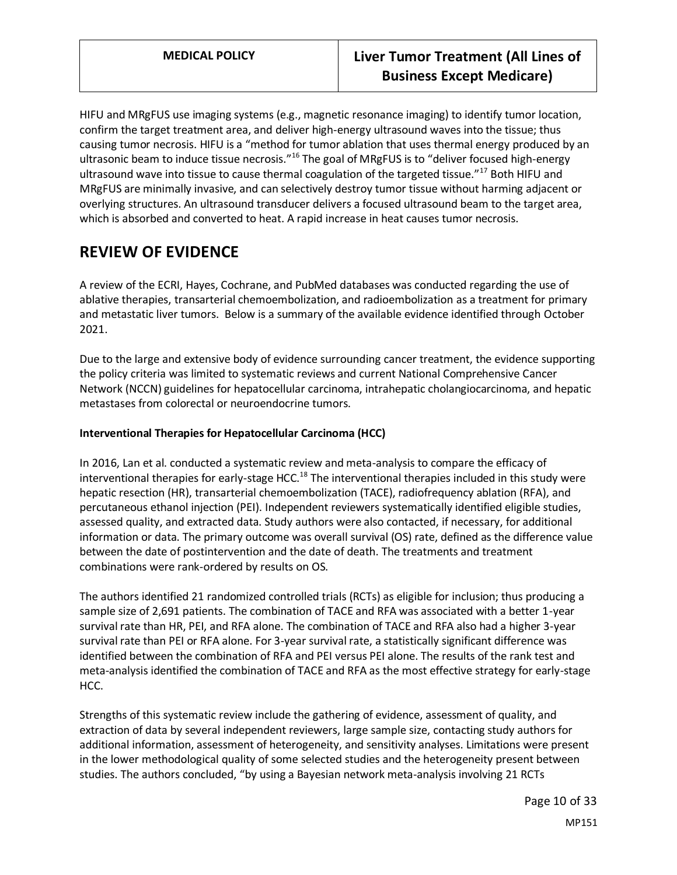HIFU and MRgFUS use imaging systems (e.g., magnetic resonance imaging) to identify tumor location, confirm the target treatment area, and deliver high-energy ultrasound waves into the tissue; thus causing tumor necrosis. HIFU is a "method for tumor ablation that uses thermal energy produced by an ultrasonic beam to induce tissue necrosis."<sup>16</sup> The goal of MRgFUS is to "deliver focused high-energy ultrasound wave into tissue to cause thermal coagulation of the targeted tissue."<sup>17</sup> Both HIFU and MRgFUS are minimally invasive, and can selectively destroy tumor tissue without harming adjacent or overlying structures. An ultrasound transducer delivers a focused ultrasound beam to the target area, which is absorbed and converted to heat. A rapid increase in heat causes tumor necrosis.

# **REVIEW OF EVIDENCE**

A review of the ECRI, Hayes, Cochrane, and PubMed databases was conducted regarding the use of ablative therapies, transarterial chemoembolization, and radioembolization as a treatment for primary and metastatic liver tumors. Below is a summary of the available evidence identified through October 2021.

Due to the large and extensive body of evidence surrounding cancer treatment, the evidence supporting the policy criteria was limited to systematic reviews and current National Comprehensive Cancer Network (NCCN) guidelines for hepatocellular carcinoma, intrahepatic cholangiocarcinoma, and hepatic metastases from colorectal or neuroendocrine tumors.

#### **Interventional Therapies for Hepatocellular Carcinoma (HCC)**

In 2016, Lan et al. conducted a systematic review and meta-analysis to compare the efficacy of interventional therapies for early-stage HCC.<sup>18</sup> The interventional therapies included in this study were hepatic resection (HR), transarterial chemoembolization (TACE), radiofrequency ablation (RFA), and percutaneous ethanol injection (PEI). Independent reviewers systematically identified eligible studies, assessed quality, and extracted data. Study authors were also contacted, if necessary, for additional information or data. The primary outcome was overall survival (OS) rate, defined as the difference value between the date of postintervention and the date of death. The treatments and treatment combinations were rank-ordered by results on OS.

The authors identified 21 randomized controlled trials (RCTs) as eligible for inclusion; thus producing a sample size of 2,691 patients. The combination of TACE and RFA was associated with a better 1-year survival rate than HR, PEI, and RFA alone. The combination of TACE and RFA also had a higher 3-year survival rate than PEI or RFA alone. For 3-year survival rate, a statistically significant difference was identified between the combination of RFA and PEI versus PEI alone. The results of the rank test and meta-analysis identified the combination of TACE and RFA as the most effective strategy for early-stage HCC.

Strengths of this systematic review include the gathering of evidence, assessment of quality, and extraction of data by several independent reviewers, large sample size, contacting study authors for additional information, assessment of heterogeneity, and sensitivity analyses. Limitations were present in the lower methodological quality of some selected studies and the heterogeneity present between studies. The authors concluded, "by using a Bayesian network meta-analysis involving 21 RCTs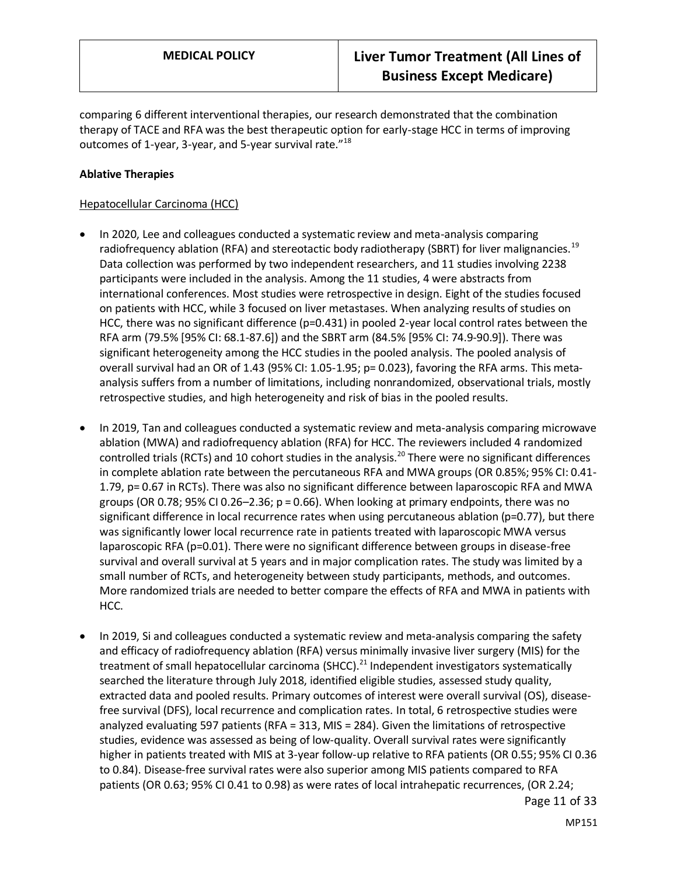comparing 6 different interventional therapies, our research demonstrated that the combination therapy of TACE and RFA was the best therapeutic option for early-stage HCC in terms of improving outcomes of 1-year, 3-year, and 5-year survival rate."<sup>18</sup>

#### **Ablative Therapies**

#### Hepatocellular Carcinoma (HCC)

- In 2020, Lee and colleagues conducted a systematic review and meta-analysis comparing radiofrequency ablation (RFA) and stereotactic body radiotherapy (SBRT) for liver malignancies.<sup>19</sup> Data collection was performed by two independent researchers, and 11 studies involving 2238 participants were included in the analysis. Among the 11 studies, 4 were abstracts from international conferences. Most studies were retrospective in design. Eight of the studies focused on patients with HCC, while 3 focused on liver metastases. When analyzing results of studies on HCC, there was no significant difference (p=0.431) in pooled 2-year local control rates between the RFA arm (79.5% [95% CI: 68.1-87.6]) and the SBRT arm (84.5% [95% CI: 74.9-90.9]). There was significant heterogeneity among the HCC studies in the pooled analysis. The pooled analysis of overall survival had an OR of 1.43 (95% CI: 1.05-1.95; p= 0.023), favoring the RFA arms. This metaanalysis suffers from a number of limitations, including nonrandomized, observational trials, mostly retrospective studies, and high heterogeneity and risk of bias in the pooled results.
- In 2019, Tan and colleagues conducted a systematic review and meta-analysis comparing microwave ablation (MWA) and radiofrequency ablation (RFA) for HCC. The reviewers included 4 randomized controlled trials (RCTs) and 10 cohort studies in the analysis.<sup>20</sup> There were no significant differences in complete ablation rate between the percutaneous RFA and MWA groups (OR 0.85%; 95% CI: 0.41- 1.79, p= 0.67 in RCTs). There was also no significant difference between laparoscopic RFA and MWA groups (OR 0.78; 95% CI 0.26–2.36; p = 0.66). When looking at primary endpoints, there was no significant difference in local recurrence rates when using percutaneous ablation (p=0.77), but there was significantly lower local recurrence rate in patients treated with laparoscopic MWA versus laparoscopic RFA (p=0.01). There were no significant difference between groups in disease-free survival and overall survival at 5 years and in major complication rates. The study was limited by a small number of RCTs, and heterogeneity between study participants, methods, and outcomes. More randomized trials are needed to better compare the effects of RFA and MWA in patients with HCC.
- In 2019, Si and colleagues conducted a systematic review and meta-analysis comparing the safety and efficacy of radiofrequency ablation (RFA) versus minimally invasive liver surgery (MIS) for the treatment of small hepatocellular carcinoma (SHCC).<sup>21</sup> Independent investigators systematically searched the literature through July 2018, identified eligible studies, assessed study quality, extracted data and pooled results. Primary outcomes of interest were overall survival (OS), diseasefree survival (DFS), local recurrence and complication rates. In total, 6 retrospective studies were analyzed evaluating 597 patients (RFA = 313, MIS = 284). Given the limitations of retrospective studies, evidence was assessed as being of low-quality. Overall survival rates were significantly higher in patients treated with MIS at 3-year follow-up relative to RFA patients (OR 0.55; 95% CI 0.36 to 0.84). Disease-free survival rates were also superior among MIS patients compared to RFA patients (OR 0.63; 95% CI 0.41 to 0.98) as were rates of local intrahepatic recurrences, (OR 2.24;

Page 11 of 33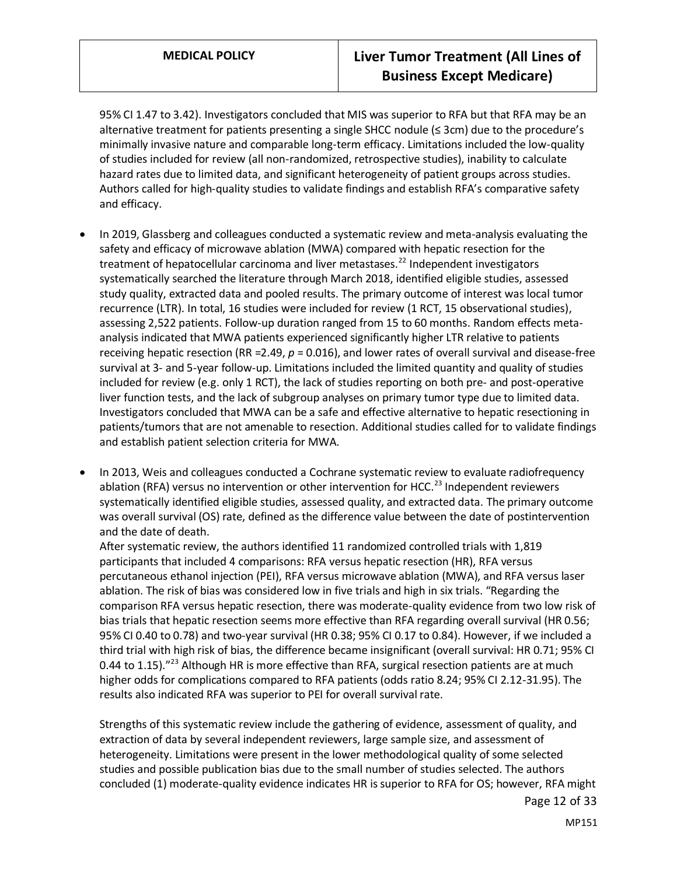95% CI 1.47 to 3.42). Investigators concluded that MIS was superior to RFA but that RFA may be an alternative treatment for patients presenting a single SHCC nodule (≤ 3cm) due to the procedure's minimally invasive nature and comparable long-term efficacy. Limitations included the low-quality of studies included for review (all non-randomized, retrospective studies), inability to calculate hazard rates due to limited data, and significant heterogeneity of patient groups across studies. Authors called for high-quality studies to validate findings and establish RFA's comparative safety and efficacy.

- In 2019, Glassberg and colleagues conducted a systematic review and meta-analysis evaluating the safety and efficacy of microwave ablation (MWA) compared with hepatic resection for the treatment of hepatocellular carcinoma and liver metastases.<sup>22</sup> Independent investigators systematically searched the literature through March 2018, identified eligible studies, assessed study quality, extracted data and pooled results. The primary outcome of interest was local tumor recurrence (LTR). In total, 16 studies were included for review (1 RCT, 15 observational studies), assessing 2,522 patients. Follow-up duration ranged from 15 to 60 months. Random effects metaanalysis indicated that MWA patients experienced significantly higher LTR relative to patients receiving hepatic resection (RR =2.49, *p* = 0.016), and lower rates of overall survival and disease-free survival at 3- and 5-year follow-up. Limitations included the limited quantity and quality of studies included for review (e.g. only 1 RCT), the lack of studies reporting on both pre- and post-operative liver function tests, and the lack of subgroup analyses on primary tumor type due to limited data. Investigators concluded that MWA can be a safe and effective alternative to hepatic resectioning in patients/tumors that are not amenable to resection. Additional studies called for to validate findings and establish patient selection criteria for MWA.
- In 2013, Weis and colleagues conducted a Cochrane systematic review to evaluate radiofrequency ablation (RFA) versus no intervention or other intervention for HCC.<sup>23</sup> Independent reviewers systematically identified eligible studies, assessed quality, and extracted data. The primary outcome was overall survival (OS) rate, defined as the difference value between the date of postintervention and the date of death.

After systematic review, the authors identified 11 randomized controlled trials with 1,819 participants that included 4 comparisons: RFA versus hepatic resection (HR), RFA versus percutaneous ethanol injection (PEI), RFA versus microwave ablation (MWA), and RFA versus laser ablation. The risk of bias was considered low in five trials and high in six trials. "Regarding the comparison RFA versus hepatic resection, there was moderate-quality evidence from two low risk of bias trials that hepatic resection seems more effective than RFA regarding overall survival (HR 0.56; 95% CI 0.40 to 0.78) and two-year survival (HR 0.38; 95% CI 0.17 to 0.84). However, if we included a third trial with high risk of bias, the difference became insignificant (overall survival: HR 0.71; 95% CI 0.44 to 1.15)."<sup>23</sup> Although HR is more effective than RFA, surgical resection patients are at much higher odds for complications compared to RFA patients (odds ratio 8.24; 95% CI 2.12-31.95). The results also indicated RFA was superior to PEI for overall survival rate.

Strengths of this systematic review include the gathering of evidence, assessment of quality, and extraction of data by several independent reviewers, large sample size, and assessment of heterogeneity. Limitations were present in the lower methodological quality of some selected studies and possible publication bias due to the small number of studies selected. The authors concluded (1) moderate-quality evidence indicates HR is superior to RFA for OS; however, RFA might

Page 12 of 33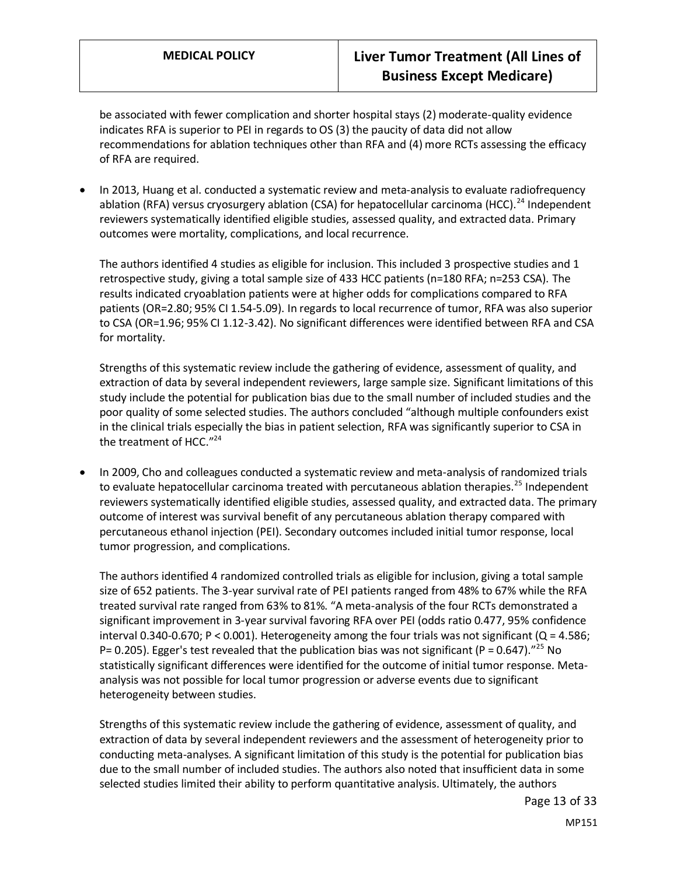be associated with fewer complication and shorter hospital stays (2) moderate-quality evidence indicates RFA is superior to PEI in regards to OS (3) the paucity of data did not allow recommendations for ablation techniques other than RFA and (4) more RCTs assessing the efficacy of RFA are required.

• In 2013, Huang et al. conducted a systematic review and meta-analysis to evaluate radiofrequency ablation (RFA) versus cryosurgery ablation (CSA) for hepatocellular carcinoma (HCC).<sup>24</sup> Independent reviewers systematically identified eligible studies, assessed quality, and extracted data. Primary outcomes were mortality, complications, and local recurrence.

The authors identified 4 studies as eligible for inclusion. This included 3 prospective studies and 1 retrospective study, giving a total sample size of 433 HCC patients (n=180 RFA; n=253 CSA). The results indicated cryoablation patients were at higher odds for complications compared to RFA patients (OR=2.80; 95% CI 1.54-5.09). In regards to local recurrence of tumor, RFA was also superior to CSA (OR=1.96; 95% CI 1.12-3.42). No significant differences were identified between RFA and CSA for mortality.

Strengths of this systematic review include the gathering of evidence, assessment of quality, and extraction of data by several independent reviewers, large sample size. Significant limitations of this study include the potential for publication bias due to the small number of included studies and the poor quality of some selected studies. The authors concluded "although multiple confounders exist in the clinical trials especially the bias in patient selection, RFA was significantly superior to CSA in the treatment of HCC."<sup>24</sup>

• In 2009, Cho and colleagues conducted a systematic review and meta-analysis of randomized trials to evaluate hepatocellular carcinoma treated with percutaneous ablation therapies.<sup>25</sup> Independent reviewers systematically identified eligible studies, assessed quality, and extracted data. The primary outcome of interest was survival benefit of any percutaneous ablation therapy compared with percutaneous ethanol injection (PEI). Secondary outcomes included initial tumor response, local tumor progression, and complications.

The authors identified 4 randomized controlled trials as eligible for inclusion, giving a total sample size of 652 patients. The 3-year survival rate of PEI patients ranged from 48% to 67% while the RFA treated survival rate ranged from 63% to 81%. "A meta-analysis of the four RCTs demonstrated a significant improvement in 3-year survival favoring RFA over PEI (odds ratio 0.477, 95% confidence interval 0.340-0.670; P < 0.001). Heterogeneity among the four trials was not significant ( $Q = 4.586$ ; P= 0.205). Egger's test revealed that the publication bias was not significant (P = 0.647).<sup>"25</sup> No statistically significant differences were identified for the outcome of initial tumor response. Metaanalysis was not possible for local tumor progression or adverse events due to significant heterogeneity between studies.

Strengths of this systematic review include the gathering of evidence, assessment of quality, and extraction of data by several independent reviewers and the assessment of heterogeneity prior to conducting meta-analyses. A significant limitation of this study is the potential for publication bias due to the small number of included studies. The authors also noted that insufficient data in some selected studies limited their ability to perform quantitative analysis. Ultimately, the authors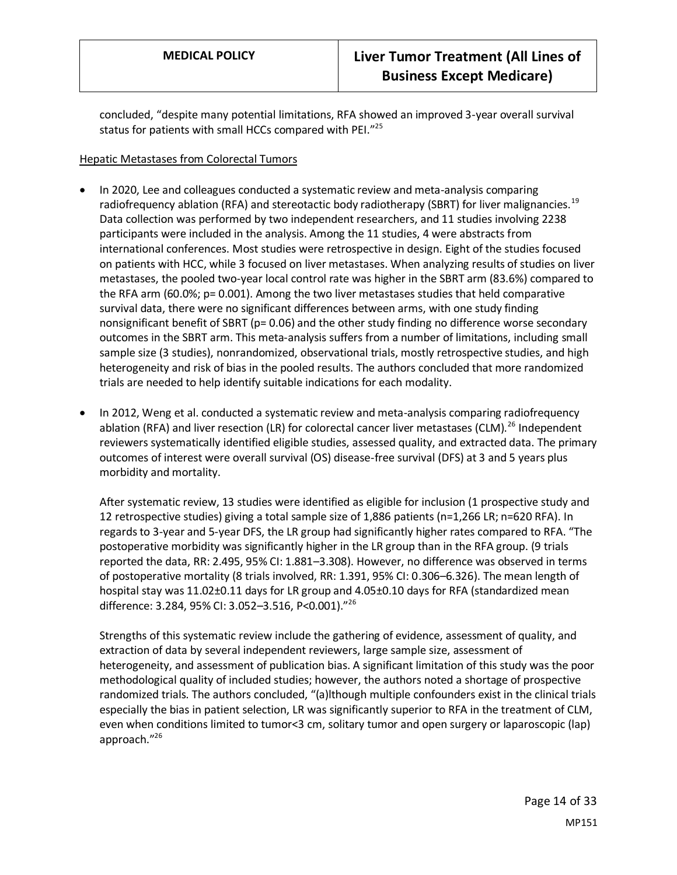concluded, "despite many potential limitations, RFA showed an improved 3-year overall survival status for patients with small HCCs compared with PEI."<sup>25</sup>

#### Hepatic Metastases from Colorectal Tumors

- In 2020, Lee and colleagues conducted a systematic review and meta-analysis comparing radiofrequency ablation (RFA) and stereotactic body radiotherapy (SBRT) for liver malignancies.<sup>19</sup> Data collection was performed by two independent researchers, and 11 studies involving 2238 participants were included in the analysis. Among the 11 studies, 4 were abstracts from international conferences. Most studies were retrospective in design. Eight of the studies focused on patients with HCC, while 3 focused on liver metastases. When analyzing results of studies on liver metastases, the pooled two-year local control rate was higher in the SBRT arm (83.6%) compared to the RFA arm (60.0%; p= 0.001). Among the two liver metastases studies that held comparative survival data, there were no significant differences between arms, with one study finding nonsignificant benefit of SBRT (p= 0.06) and the other study finding no difference worse secondary outcomes in the SBRT arm. This meta-analysis suffers from a number of limitations, including small sample size (3 studies), nonrandomized, observational trials, mostly retrospective studies, and high heterogeneity and risk of bias in the pooled results. The authors concluded that more randomized trials are needed to help identify suitable indications for each modality.
- In 2012, Weng et al. conducted a systematic review and meta-analysis comparing radiofrequency ablation (RFA) and liver resection (LR) for colorectal cancer liver metastases (CLM).<sup>26</sup> Independent reviewers systematically identified eligible studies, assessed quality, and extracted data. The primary outcomes of interest were overall survival (OS) disease-free survival (DFS) at 3 and 5 years plus morbidity and mortality.

After systematic review, 13 studies were identified as eligible for inclusion (1 prospective study and 12 retrospective studies) giving a total sample size of 1,886 patients (n=1,266 LR; n=620 RFA). In regards to 3-year and 5-year DFS, the LR group had significantly higher rates compared to RFA. "The postoperative morbidity was significantly higher in the LR group than in the RFA group. (9 trials reported the data, RR: 2.495, 95% CI: 1.881–3.308). However, no difference was observed in terms of postoperative mortality (8 trials involved, RR: 1.391, 95% CI: 0.306–6.326). The mean length of hospital stay was 11.02±0.11 days for LR group and 4.05±0.10 days for RFA (standardized mean difference: 3.284, 95% CI: 3.052–3.516, P<0.001)."<sup>26</sup>

Strengths of this systematic review include the gathering of evidence, assessment of quality, and extraction of data by several independent reviewers, large sample size, assessment of heterogeneity, and assessment of publication bias. A significant limitation of this study was the poor methodological quality of included studies; however, the authors noted a shortage of prospective randomized trials. The authors concluded, "(a)lthough multiple confounders exist in the clinical trials especially the bias in patient selection, LR was significantly superior to RFA in the treatment of CLM, even when conditions limited to tumor<3 cm, solitary tumor and open surgery or laparoscopic (lap) approach."<sup>26</sup>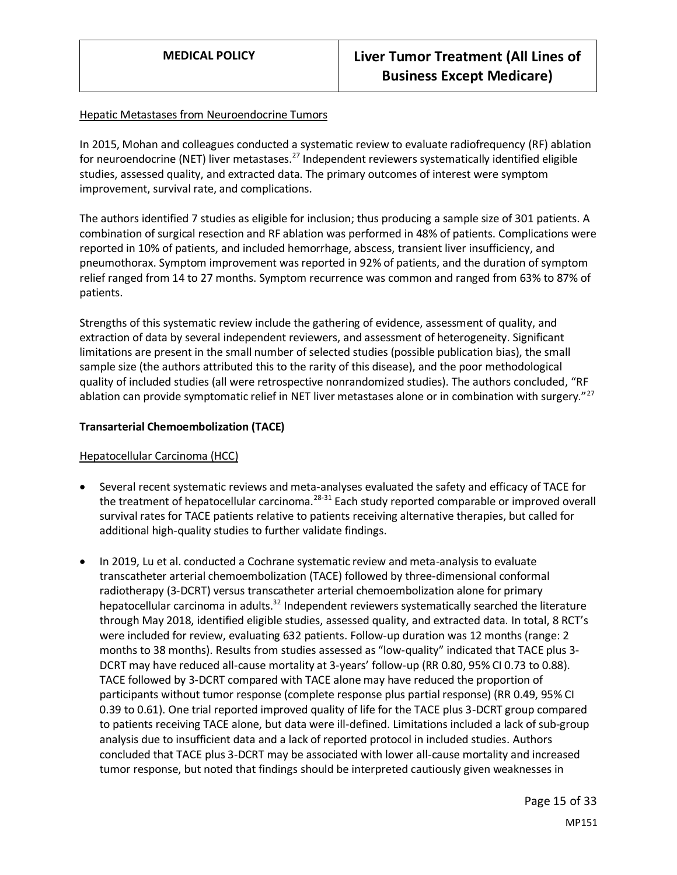#### Hepatic Metastases from Neuroendocrine Tumors

In 2015, Mohan and colleagues conducted a systematic review to evaluate radiofrequency (RF) ablation for neuroendocrine (NET) liver metastases.<sup>27</sup> Independent reviewers systematically identified eligible studies, assessed quality, and extracted data. The primary outcomes of interest were symptom improvement, survival rate, and complications.

The authors identified 7 studies as eligible for inclusion; thus producing a sample size of 301 patients. A combination of surgical resection and RF ablation was performed in 48% of patients. Complications were reported in 10% of patients, and included hemorrhage, abscess, transient liver insufficiency, and pneumothorax. Symptom improvement was reported in 92% of patients, and the duration of symptom relief ranged from 14 to 27 months. Symptom recurrence was common and ranged from 63% to 87% of patients.

Strengths of this systematic review include the gathering of evidence, assessment of quality, and extraction of data by several independent reviewers, and assessment of heterogeneity. Significant limitations are present in the small number of selected studies (possible publication bias), the small sample size (the authors attributed this to the rarity of this disease), and the poor methodological quality of included studies (all were retrospective nonrandomized studies). The authors concluded, "RF ablation can provide symptomatic relief in NET liver metastases alone or in combination with surgery."<sup>27</sup>

#### **Transarterial Chemoembolization (TACE)**

#### Hepatocellular Carcinoma (HCC)

- Several recent systematic reviews and meta-analyses evaluated the safety and efficacy of TACE for the treatment of hepatocellular carcinoma.<sup>28-31</sup> Each study reported comparable or improved overall survival rates for TACE patients relative to patients receiving alternative therapies, but called for additional high-quality studies to further validate findings.
- In 2019, Lu et al. conducted a Cochrane systematic review and meta-analysis to evaluate transcatheter arterial chemoembolization (TACE) followed by three-dimensional conformal radiotherapy (3-DCRT) versus transcatheter arterial chemoembolization alone for primary hepatocellular carcinoma in adults.<sup>32</sup> Independent reviewers systematically searched the literature through May 2018, identified eligible studies, assessed quality, and extracted data. In total, 8 RCT's were included for review, evaluating 632 patients. Follow-up duration was 12 months (range: 2 months to 38 months). Results from studies assessed as "low-quality" indicated that TACE plus 3- DCRT may have reduced all-cause mortality at 3-years' follow-up (RR 0.80, 95% CI 0.73 to 0.88). TACE followed by 3-DCRT compared with TACE alone may have reduced the proportion of participants without tumor response (complete response plus partial response) (RR 0.49, 95% CI 0.39 to 0.61). One trial reported improved quality of life for the TACE plus 3-DCRT group compared to patients receiving TACE alone, but data were ill-defined. Limitations included a lack of sub-group analysis due to insufficient data and a lack of reported protocol in included studies. Authors concluded that TACE plus 3-DCRT may be associated with lower all-cause mortality and increased tumor response, but noted that findings should be interpreted cautiously given weaknesses in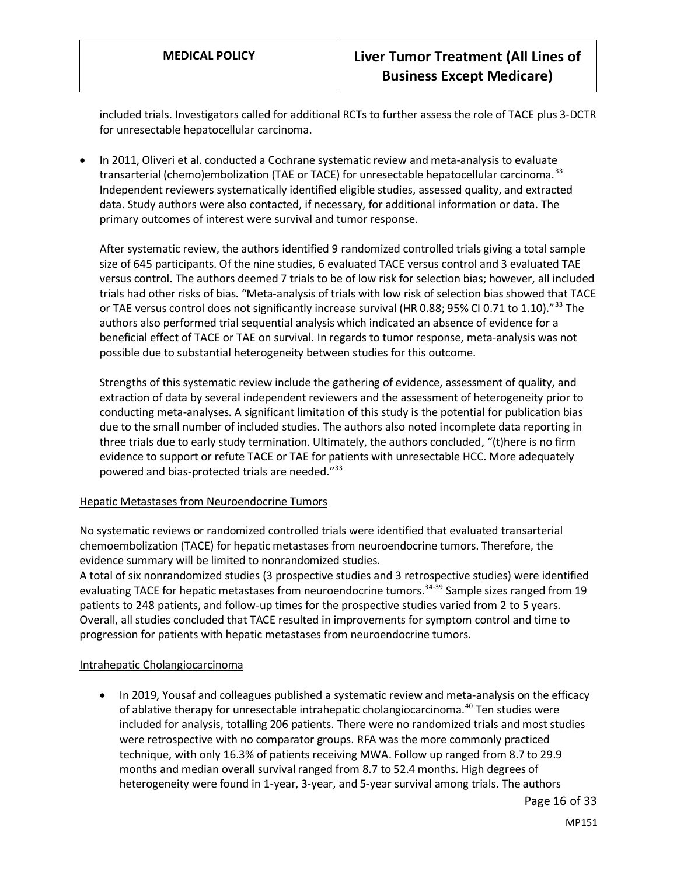included trials. Investigators called for additional RCTs to further assess the role of TACE plus 3-DCTR for unresectable hepatocellular carcinoma.

• In 2011, Oliveri et al. conducted a Cochrane systematic review and meta-analysis to evaluate transarterial (chemo)embolization (TAE or TACE) for unresectable hepatocellular carcinoma.<sup>33</sup> Independent reviewers systematically identified eligible studies, assessed quality, and extracted data. Study authors were also contacted, if necessary, for additional information or data. The primary outcomes of interest were survival and tumor response.

After systematic review, the authors identified 9 randomized controlled trials giving a total sample size of 645 participants. Of the nine studies, 6 evaluated TACE versus control and 3 evaluated TAE versus control. The authors deemed 7 trials to be of low risk for selection bias; however, all included trials had other risks of bias. "Meta-analysis of trials with low risk of selection bias showed that TACE or TAE versus control does not significantly increase survival (HR 0.88; 95% CI 0.71 to 1.10).<sup>"33</sup> The authors also performed trial sequential analysis which indicated an absence of evidence for a beneficial effect of TACE or TAE on survival. In regards to tumor response, meta-analysis was not possible due to substantial heterogeneity between studies for this outcome.

Strengths of this systematic review include the gathering of evidence, assessment of quality, and extraction of data by several independent reviewers and the assessment of heterogeneity prior to conducting meta-analyses. A significant limitation of this study is the potential for publication bias due to the small number of included studies. The authors also noted incomplete data reporting in three trials due to early study termination. Ultimately, the authors concluded, "(t)here is no firm evidence to support or refute TACE or TAE for patients with unresectable HCC. More adequately powered and bias-protected trials are needed."<sup>33</sup>

#### Hepatic Metastases from Neuroendocrine Tumors

No systematic reviews or randomized controlled trials were identified that evaluated transarterial chemoembolization (TACE) for hepatic metastases from neuroendocrine tumors. Therefore, the evidence summary will be limited to nonrandomized studies.

A total of six nonrandomized studies (3 prospective studies and 3 retrospective studies) were identified evaluating TACE for hepatic metastases from neuroendocrine tumors.<sup>34-39</sup> Sample sizes ranged from 19 patients to 248 patients, and follow-up times for the prospective studies varied from 2 to 5 years. Overall, all studies concluded that TACE resulted in improvements for symptom control and time to progression for patients with hepatic metastases from neuroendocrine tumors.

#### Intrahepatic Cholangiocarcinoma

• In 2019, Yousaf and colleagues published a systematic review and meta-analysis on the efficacy of ablative therapy for unresectable intrahepatic cholangiocarcinoma.<sup>40</sup> Ten studies were included for analysis, totalling 206 patients. There were no randomized trials and most studies were retrospective with no comparator groups. RFA was the more commonly practiced technique, with only 16.3% of patients receiving MWA. Follow up ranged from 8.7 to 29.9 months and median overall survival ranged from 8.7 to 52.4 months. High degrees of heterogeneity were found in 1-year, 3-year, and 5-year survival among trials. The authors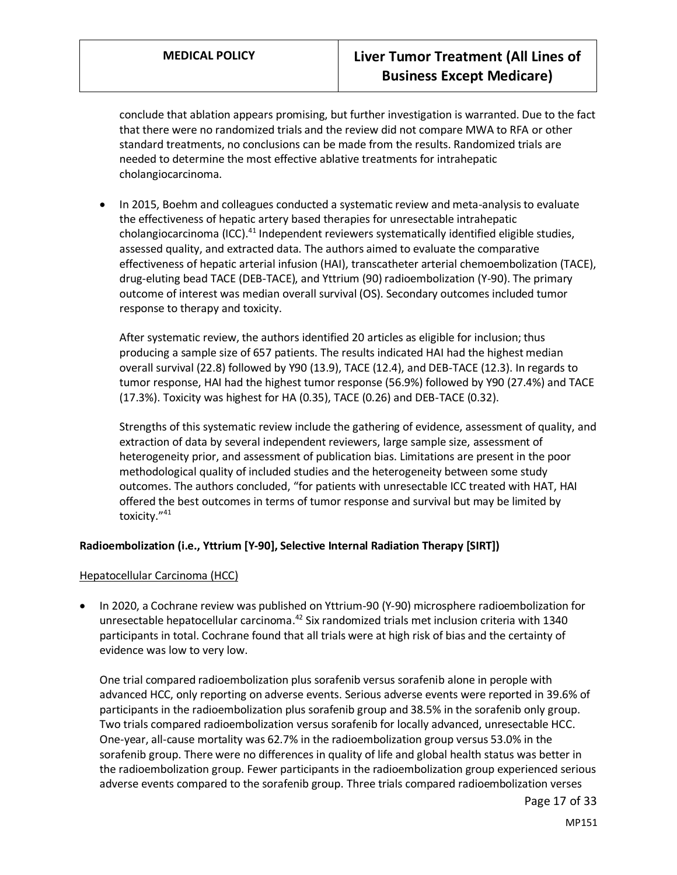conclude that ablation appears promising, but further investigation is warranted. Due to the fact that there were no randomized trials and the review did not compare MWA to RFA or other standard treatments, no conclusions can be made from the results. Randomized trials are needed to determine the most effective ablative treatments for intrahepatic cholangiocarcinoma.

• In 2015, Boehm and colleagues conducted a systematic review and meta-analysis to evaluate the effectiveness of hepatic artery based therapies for unresectable intrahepatic cholangiocarcinoma (ICC).<sup>41</sup> Independent reviewers systematically identified eligible studies, assessed quality, and extracted data. The authors aimed to evaluate the comparative effectiveness of hepatic arterial infusion (HAI), transcatheter arterial chemoembolization (TACE), drug-eluting bead TACE (DEB-TACE), and Yttrium (90) radioembolization (Y-90). The primary outcome of interest was median overall survival (OS). Secondary outcomes included tumor response to therapy and toxicity.

After systematic review, the authors identified 20 articles as eligible for inclusion; thus producing a sample size of 657 patients. The results indicated HAI had the highest median overall survival (22.8) followed by Y90 (13.9), TACE (12.4), and DEB-TACE (12.3). In regards to tumor response, HAI had the highest tumor response (56.9%) followed by Y90 (27.4%) and TACE (17.3%). Toxicity was highest for HA (0.35), TACE (0.26) and DEB-TACE (0.32).

Strengths of this systematic review include the gathering of evidence, assessment of quality, and extraction of data by several independent reviewers, large sample size, assessment of heterogeneity prior, and assessment of publication bias. Limitations are present in the poor methodological quality of included studies and the heterogeneity between some study outcomes. The authors concluded, "for patients with unresectable ICC treated with HAT, HAI offered the best outcomes in terms of tumor response and survival but may be limited by toxicity."<sup>41</sup>

#### **Radioembolization (i.e., Yttrium [Y-90], Selective Internal Radiation Therapy [SIRT])**

#### Hepatocellular Carcinoma (HCC)

• In 2020, a Cochrane review was published on Yttrium-90 (Y-90) microsphere radioembolization for unresectable hepatocellular carcinoma.<sup>42</sup> Six randomized trials met inclusion criteria with 1340 participants in total. Cochrane found that all trials were at high risk of bias and the certainty of evidence was low to very low.

One trial compared radioembolization plus sorafenib versus sorafenib alone in perople with advanced HCC, only reporting on adverse events. Serious adverse events were reported in 39.6% of participants in the radioembolization plus sorafenib group and 38.5% in the sorafenib only group. Two trials compared radioembolization versus sorafenib for locally advanced, unresectable HCC. One-year, all-cause mortality was 62.7% in the radioembolization group versus 53.0% in the sorafenib group. There were no differences in quality of life and global health status was better in the radioembolization group. Fewer participants in the radioembolization group experienced serious adverse events compared to the sorafenib group. Three trials compared radioembolization verses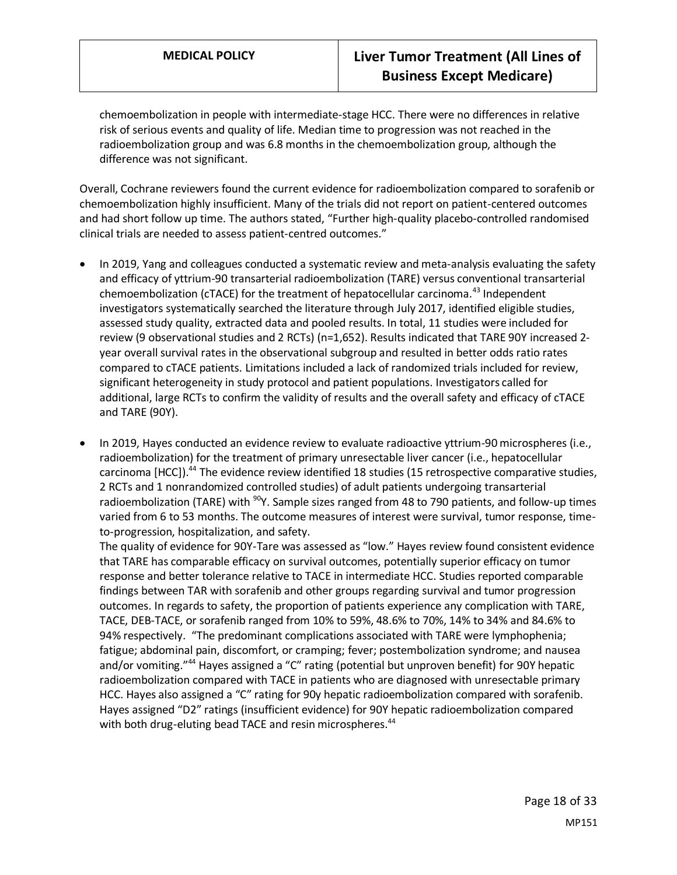chemoembolization in people with intermediate-stage HCC. There were no differences in relative risk of serious events and quality of life. Median time to progression was not reached in the radioembolization group and was 6.8 months in the chemoembolization group, although the difference was not significant.

Overall, Cochrane reviewers found the current evidence for radioembolization compared to sorafenib or chemoembolization highly insufficient. Many of the trials did not report on patient-centered outcomes and had short follow up time. The authors stated, "Further high‐quality placebo‐controlled randomised clinical trials are needed to assess patient‐centred outcomes."

- In 2019, Yang and colleagues conducted a systematic review and meta-analysis evaluating the safety and efficacy of yttrium-90 transarterial radioembolization (TARE) versus conventional transarterial chemoembolization (cTACE) for the treatment of hepatocellular carcinoma.<sup>43</sup> Independent investigators systematically searched the literature through July 2017, identified eligible studies, assessed study quality, extracted data and pooled results. In total, 11 studies were included for review (9 observational studies and 2 RCTs) (n=1,652). Results indicated that TARE 90Y increased 2 year overall survival rates in the observational subgroup and resulted in better odds ratio rates compared to cTACE patients. Limitations included a lack of randomized trials included for review, significant heterogeneity in study protocol and patient populations. Investigators called for additional, large RCTs to confirm the validity of results and the overall safety and efficacy of cTACE and TARE (90Y).
- In 2019, Hayes conducted an evidence review to evaluate radioactive yttrium-90 microspheres (i.e., radioembolization) for the treatment of primary unresectable liver cancer (i.e., hepatocellular carcinoma [HCC]).<sup>44</sup> The evidence review identified 18 studies (15 retrospective comparative studies, 2 RCTs and 1 nonrandomized controlled studies) of adult patients undergoing transarterial radioembolization (TARE) with <sup>90</sup>Y. Sample sizes ranged from 48 to 790 patients, and follow-up times varied from 6 to 53 months. The outcome measures of interest were survival, tumor response, timeto-progression, hospitalization, and safety.

The quality of evidence for 90Y-Tare was assessed as "low." Hayes review found consistent evidence that TARE has comparable efficacy on survival outcomes, potentially superior efficacy on tumor response and better tolerance relative to TACE in intermediate HCC. Studies reported comparable findings between TAR with sorafenib and other groups regarding survival and tumor progression outcomes. In regards to safety, the proportion of patients experience any complication with TARE, TACE, DEB-TACE, or sorafenib ranged from 10% to 59%, 48.6% to 70%, 14% to 34% and 84.6% to 94% respectively. "The predominant complications associated with TARE were lymphophenia; fatigue; abdominal pain, discomfort, or cramping; fever; postembolization syndrome; and nausea and/or vomiting."<sup>44</sup> Hayes assigned a "C" rating (potential but unproven benefit) for 90Y hepatic radioembolization compared with TACE in patients who are diagnosed with unresectable primary HCC. Hayes also assigned a "C" rating for 90y hepatic radioembolization compared with sorafenib. Hayes assigned "D2" ratings (insufficient evidence) for 90Y hepatic radioembolization compared with both drug-eluting bead TACE and resin microspheres.<sup>44</sup>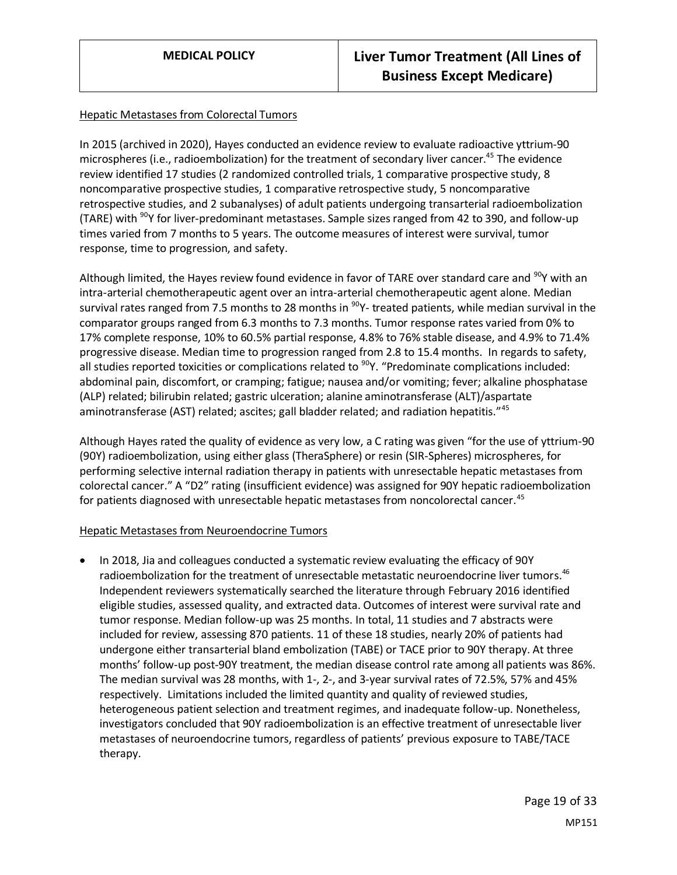#### Hepatic Metastases from Colorectal Tumors

In 2015 (archived in 2020), Hayes conducted an evidence review to evaluate radioactive yttrium-90 microspheres (i.e., radioembolization) for the treatment of secondary liver cancer.<sup>45</sup> The evidence review identified 17 studies (2 randomized controlled trials, 1 comparative prospective study, 8 noncomparative prospective studies, 1 comparative retrospective study, 5 noncomparative retrospective studies, and 2 subanalyses) of adult patients undergoing transarterial radioembolization (TARE) with  $90Y$  for liver-predominant metastases. Sample sizes ranged from 42 to 390, and follow-up times varied from 7 months to 5 years. The outcome measures of interest were survival, tumor response, time to progression, and safety.

Although limited, the Hayes review found evidence in favor of TARE over standard care and  $90Y$  with an intra-arterial chemotherapeutic agent over an intra-arterial chemotherapeutic agent alone. Median survival rates ranged from 7.5 months to 28 months in  $^{90}Y$ - treated patients, while median survival in the comparator groups ranged from 6.3 months to 7.3 months. Tumor response rates varied from 0% to 17% complete response, 10% to 60.5% partial response, 4.8% to 76% stable disease, and 4.9% to 71.4% progressive disease. Median time to progression ranged from 2.8 to 15.4 months. In regards to safety, all studies reported toxicities or complications related to <sup>90</sup>Y. "Predominate complications included: abdominal pain, discomfort, or cramping; fatigue; nausea and/or vomiting; fever; alkaline phosphatase (ALP) related; bilirubin related; gastric ulceration; alanine aminotransferase (ALT)/aspartate aminotransferase (AST) related; ascites; gall bladder related; and radiation hepatitis."<sup>45</sup>

Although Hayes rated the quality of evidence as very low, a C rating was given "for the use of yttrium-90 (90Y) radioembolization, using either glass (TheraSphere) or resin (SIR-Spheres) microspheres, for performing selective internal radiation therapy in patients with unresectable hepatic metastases from colorectal cancer." A "D2" rating (insufficient evidence) was assigned for 90Y hepatic radioembolization for patients diagnosed with unresectable hepatic metastases from noncolorectal cancer.<sup>45</sup>

#### Hepatic Metastases from Neuroendocrine Tumors

• In 2018, Jia and colleagues conducted a systematic review evaluating the efficacy of 90Y radioembolization for the treatment of unresectable metastatic neuroendocrine liver tumors.<sup>46</sup> Independent reviewers systematically searched the literature through February 2016 identified eligible studies, assessed quality, and extracted data. Outcomes of interest were survival rate and tumor response. Median follow-up was 25 months. In total, 11 studies and 7 abstracts were included for review, assessing 870 patients. 11 of these 18 studies, nearly 20% of patients had undergone either transarterial bland embolization (TABE) or TACE prior to 90Y therapy. At three months' follow-up post-90Y treatment, the median disease control rate among all patients was 86%. The median survival was 28 months, with 1-, 2-, and 3-year survival rates of 72.5%, 57% and 45% respectively. Limitations included the limited quantity and quality of reviewed studies, heterogeneous patient selection and treatment regimes, and inadequate follow-up. Nonetheless, investigators concluded that 90Y radioembolization is an effective treatment of unresectable liver metastases of neuroendocrine tumors, regardless of patients' previous exposure to TABE/TACE therapy.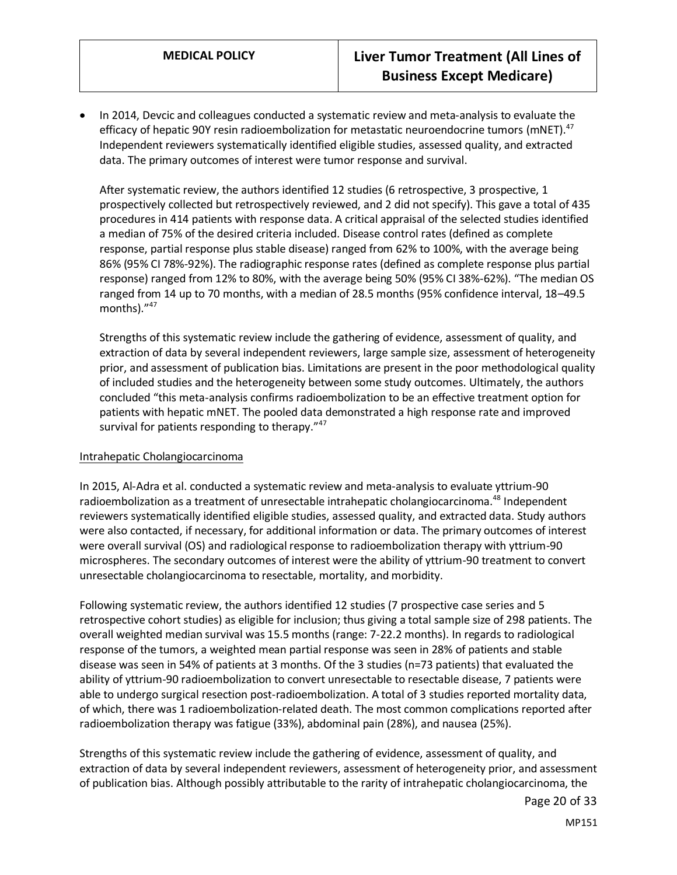• In 2014, Devcic and colleagues conducted a systematic review and meta-analysis to evaluate the efficacy of hepatic 90Y resin radioembolization for metastatic neuroendocrine tumors (mNET).<sup>47</sup> Independent reviewers systematically identified eligible studies, assessed quality, and extracted data. The primary outcomes of interest were tumor response and survival.

After systematic review, the authors identified 12 studies (6 retrospective, 3 prospective, 1 prospectively collected but retrospectively reviewed, and 2 did not specify). This gave a total of 435 procedures in 414 patients with response data. A critical appraisal of the selected studies identified a median of 75% of the desired criteria included. Disease control rates (defined as complete response, partial response plus stable disease) ranged from 62% to 100%, with the average being 86% (95% CI 78%-92%). The radiographic response rates (defined as complete response plus partial response) ranged from 12% to 80%, with the average being 50% (95% CI 38%-62%). "The median OS ranged from 14 up to 70 months, with a median of 28.5 months (95% confidence interval, 18–49.5 months)."<sup>47</sup>

Strengths of this systematic review include the gathering of evidence, assessment of quality, and extraction of data by several independent reviewers, large sample size, assessment of heterogeneity prior, and assessment of publication bias. Limitations are present in the poor methodological quality of included studies and the heterogeneity between some study outcomes. Ultimately, the authors concluded "this meta-analysis confirms radioembolization to be an effective treatment option for patients with hepatic mNET. The pooled data demonstrated a high response rate and improved survival for patients responding to therapy."<sup>47</sup>

#### Intrahepatic Cholangiocarcinoma

In 2015, Al-Adra et al. conducted a systematic review and meta-analysis to evaluate yttrium-90 radioembolization as a treatment of unresectable intrahepatic cholangiocarcinoma.<sup>48</sup> Independent reviewers systematically identified eligible studies, assessed quality, and extracted data. Study authors were also contacted, if necessary, for additional information or data. The primary outcomes of interest were overall survival (OS) and radiological response to radioembolization therapy with yttrium-90 microspheres. The secondary outcomes of interest were the ability of yttrium-90 treatment to convert unresectable cholangiocarcinoma to resectable, mortality, and morbidity.

Following systematic review, the authors identified 12 studies (7 prospective case series and 5 retrospective cohort studies) as eligible for inclusion; thus giving a total sample size of 298 patients. The overall weighted median survival was 15.5 months (range: 7-22.2 months). In regards to radiological response of the tumors, a weighted mean partial response was seen in 28% of patients and stable disease was seen in 54% of patients at 3 months. Of the 3 studies (n=73 patients) that evaluated the ability of yttrium-90 radioembolization to convert unresectable to resectable disease, 7 patients were able to undergo surgical resection post-radioembolization. A total of 3 studies reported mortality data, of which, there was 1 radioembolization-related death. The most common complications reported after radioembolization therapy was fatigue (33%), abdominal pain (28%), and nausea (25%).

Strengths of this systematic review include the gathering of evidence, assessment of quality, and extraction of data by several independent reviewers, assessment of heterogeneity prior, and assessment of publication bias. Although possibly attributable to the rarity of intrahepatic cholangiocarcinoma, the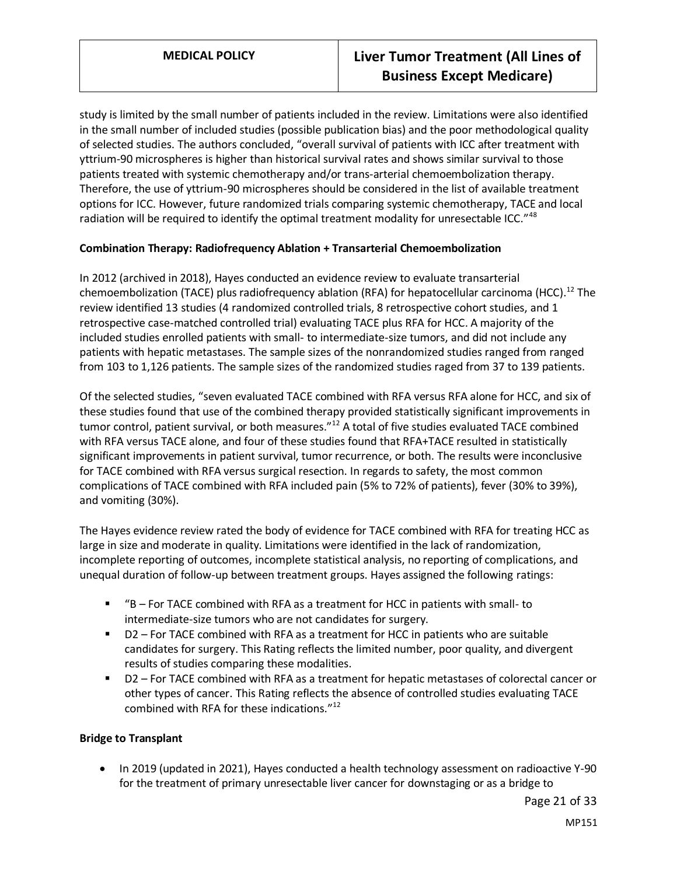study is limited by the small number of patients included in the review. Limitations were also identified in the small number of included studies (possible publication bias) and the poor methodological quality of selected studies. The authors concluded, "overall survival of patients with ICC after treatment with yttrium-90 microspheres is higher than historical survival rates and shows similar survival to those patients treated with systemic chemotherapy and/or trans-arterial chemoembolization therapy. Therefore, the use of yttrium-90 microspheres should be considered in the list of available treatment options for ICC. However, future randomized trials comparing systemic chemotherapy, TACE and local radiation will be required to identify the optimal treatment modality for unresectable ICC."<sup>48</sup>

#### **Combination Therapy: Radiofrequency Ablation + Transarterial Chemoembolization**

In 2012 (archived in 2018), Hayes conducted an evidence review to evaluate transarterial chemoembolization (TACE) plus radiofrequency ablation (RFA) for hepatocellular carcinoma (HCC).<sup>12</sup> The review identified 13 studies (4 randomized controlled trials, 8 retrospective cohort studies, and 1 retrospective case-matched controlled trial) evaluating TACE plus RFA for HCC. A majority of the included studies enrolled patients with small- to intermediate-size tumors, and did not include any patients with hepatic metastases. The sample sizes of the nonrandomized studies ranged from ranged from 103 to 1,126 patients. The sample sizes of the randomized studies raged from 37 to 139 patients.

Of the selected studies, "seven evaluated TACE combined with RFA versus RFA alone for HCC, and six of these studies found that use of the combined therapy provided statistically significant improvements in tumor control, patient survival, or both measures."<sup>12</sup> A total of five studies evaluated TACE combined with RFA versus TACE alone, and four of these studies found that RFA+TACE resulted in statistically significant improvements in patient survival, tumor recurrence, or both. The results were inconclusive for TACE combined with RFA versus surgical resection. In regards to safety, the most common complications of TACE combined with RFA included pain (5% to 72% of patients), fever (30% to 39%), and vomiting (30%).

The Hayes evidence review rated the body of evidence for TACE combined with RFA for treating HCC as large in size and moderate in quality. Limitations were identified in the lack of randomization, incomplete reporting of outcomes, incomplete statistical analysis, no reporting of complications, and unequal duration of follow-up between treatment groups. Hayes assigned the following ratings:

- $B$  For TACE combined with RFA as a treatment for HCC in patients with small- to intermediate-size tumors who are not candidates for surgery.
- D2 For TACE combined with RFA as a treatment for HCC in patients who are suitable candidates for surgery. This Rating reflects the limited number, poor quality, and divergent results of studies comparing these modalities.
- D2 For TACE combined with RFA as a treatment for hepatic metastases of colorectal cancer or other types of cancer. This Rating reflects the absence of controlled studies evaluating TACE combined with RFA for these indications." 12

#### **Bridge to Transplant**

• In 2019 (updated in 2021), Hayes conducted a health technology assessment on radioactive Y-90 for the treatment of primary unresectable liver cancer for downstaging or as a bridge to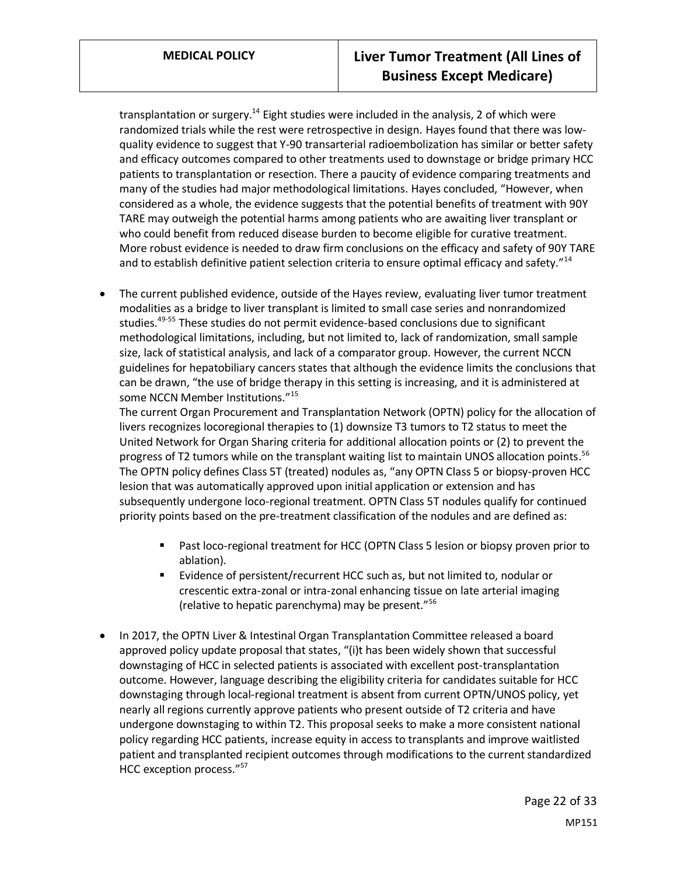transplantation or surgery.<sup>14</sup> Eight studies were included in the analysis, 2 of which were randomized trials while the rest were retrospective in design. Hayes found that there was lowquality evidence to suggest that Y-90 transarterial radioembolization has similar or better safety and efficacy outcomes compared to other treatments used to downstage or bridge primary HCC patients to transplantation or resection. There a paucity of evidence comparing treatments and many of the studies had major methodological limitations. Hayes concluded, "However, when considered as a whole, the evidence suggests that the potential benefits of treatment with 90Y TARE may outweigh the potential harms among patients who are awaiting liver transplant or who could benefit from reduced disease burden to become eligible for curative treatment. More robust evidence is needed to draw firm conclusions on the efficacy and safety of 90Y TARE and to establish definitive patient selection criteria to ensure optimal efficacy and safety."<sup>14</sup>

• The current published evidence, outside of the Hayes review, evaluating liver tumor treatment modalities as a bridge to liver transplant is limited to small case series and nonrandomized studies.<sup>49-55</sup> These studies do not permit evidence-based conclusions due to significant methodological limitations, including, but not limited to, lack of randomization, small sample size, lack of statistical analysis, and lack of a comparator group. However, the current NCCN guidelines for hepatobiliary cancers states that although the evidence limits the conclusions that can be drawn, "the use of bridge therapy in this setting is increasing, and it is administered at some NCCN Member Institutions."<sup>15</sup>

The current Organ Procurement and Transplantation Network (OPTN) policy for the allocation of livers recognizes locoregional therapies to (1) downsize T3 tumors to T2 status to meet the United Network for Organ Sharing criteria for additional allocation points or (2) to prevent the progress of T2 tumors while on the transplant waiting list to maintain UNOS allocation points.<sup>56</sup> The OPTN policy defines Class 5T (treated) nodules as, "any OPTN Class 5 or biopsy-proven HCC lesion that was automatically approved upon initial application or extension and has subsequently undergone loco-regional treatment. OPTN Class 5T nodules qualify for continued priority points based on the pre-treatment classification of the nodules and are defined as:

- Past loco-regional treatment for HCC (OPTN Class 5 lesion or biopsy proven prior to ablation).
- Evidence of persistent/recurrent HCC such as, but not limited to, nodular or crescentic extra-zonal or intra-zonal enhancing tissue on late arterial imaging (relative to hepatic parenchyma) may be present."<sup>56</sup>
- In 2017, the OPTN Liver & Intestinal Organ Transplantation Committee released a board approved policy update proposal that states, "(i)t has been widely shown that successful downstaging of HCC in selected patients is associated with excellent post-transplantation outcome. However, language describing the eligibility criteria for candidates suitable for HCC downstaging through local-regional treatment is absent from current OPTN/UNOS policy, yet nearly all regions currently approve patients who present outside of T2 criteria and have undergone downstaging to within T2. This proposal seeks to make a more consistent national policy regarding HCC patients, increase equity in access to transplants and improve waitlisted patient and transplanted recipient outcomes through modifications to the current standardized HCC exception process."<sup>57</sup>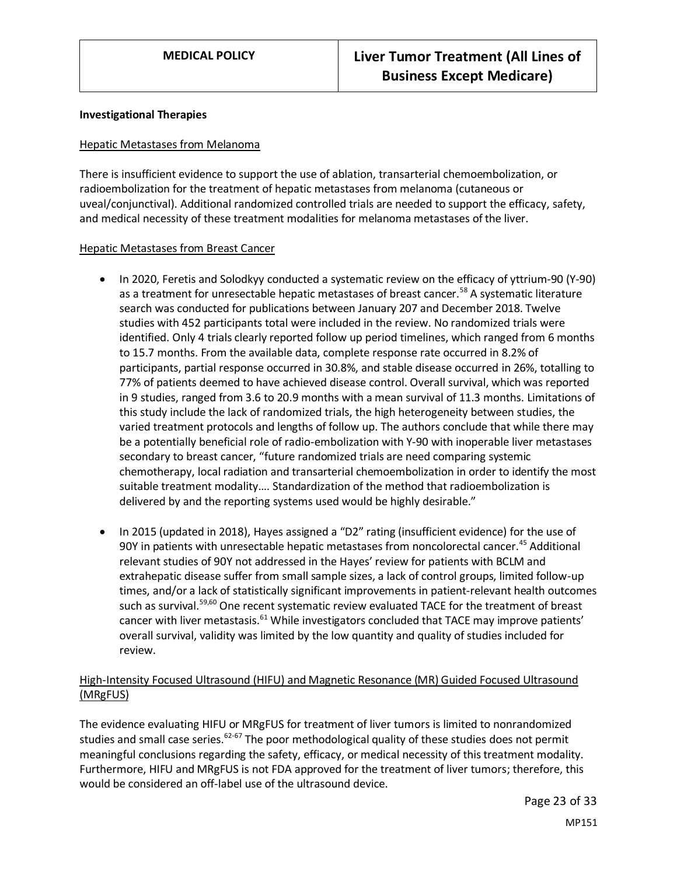#### **Investigational Therapies**

#### Hepatic Metastases from Melanoma

There is insufficient evidence to support the use of ablation, transarterial chemoembolization, or radioembolization for the treatment of hepatic metastases from melanoma (cutaneous or uveal/conjunctival). Additional randomized controlled trials are needed to support the efficacy, safety, and medical necessity of these treatment modalities for melanoma metastases of the liver.

#### Hepatic Metastases from Breast Cancer

- In 2020, Feretis and Solodkyy conducted a systematic review on the efficacy of yttrium-90 (Y-90) as a treatment for unresectable hepatic metastases of breast cancer.<sup>58</sup> A systematic literature search was conducted for publications between January 207 and December 2018. Twelve studies with 452 participants total were included in the review. No randomized trials were identified. Only 4 trials clearly reported follow up period timelines, which ranged from 6 months to 15.7 months. From the available data, complete response rate occurred in 8.2% of participants, partial response occurred in 30.8%, and stable disease occurred in 26%, totalling to 77% of patients deemed to have achieved disease control. Overall survival, which was reported in 9 studies, ranged from 3.6 to 20.9 months with a mean survival of 11.3 months. Limitations of this study include the lack of randomized trials, the high heterogeneity between studies, the varied treatment protocols and lengths of follow up. The authors conclude that while there may be a potentially beneficial role of radio-embolization with Y-90 with inoperable liver metastases secondary to breast cancer, "future randomized trials are need comparing systemic chemotherapy, local radiation and transarterial chemoembolization in order to identify the most suitable treatment modality…. Standardization of the method that radioembolization is delivered by and the reporting systems used would be highly desirable."
- In 2015 (updated in 2018), Hayes assigned a "D2" rating (insufficient evidence) for the use of 90Y in patients with unresectable hepatic metastases from noncolorectal cancer.<sup>45</sup> Additional relevant studies of 90Y not addressed in the Hayes' review for patients with BCLM and extrahepatic disease suffer from small sample sizes, a lack of control groups, limited follow-up times, and/or a lack of statistically significant improvements in patient-relevant health outcomes such as survival.<sup>59,60</sup> One recent systematic review evaluated TACE for the treatment of breast cancer with liver metastasis.<sup>61</sup> While investigators concluded that TACE may improve patients' overall survival, validity was limited by the low quantity and quality of studies included for review.

#### High-Intensity Focused Ultrasound (HIFU) and Magnetic Resonance (MR) Guided Focused Ultrasound (MRgFUS)

The evidence evaluating HIFU or MRgFUS for treatment of liver tumors is limited to nonrandomized studies and small case series.<sup>62-67</sup> The poor methodological quality of these studies does not permit meaningful conclusions regarding the safety, efficacy, or medical necessity of this treatment modality. Furthermore, HIFU and MRgFUS is not FDA approved for the treatment of liver tumors; therefore, this would be considered an off-label use of the ultrasound device.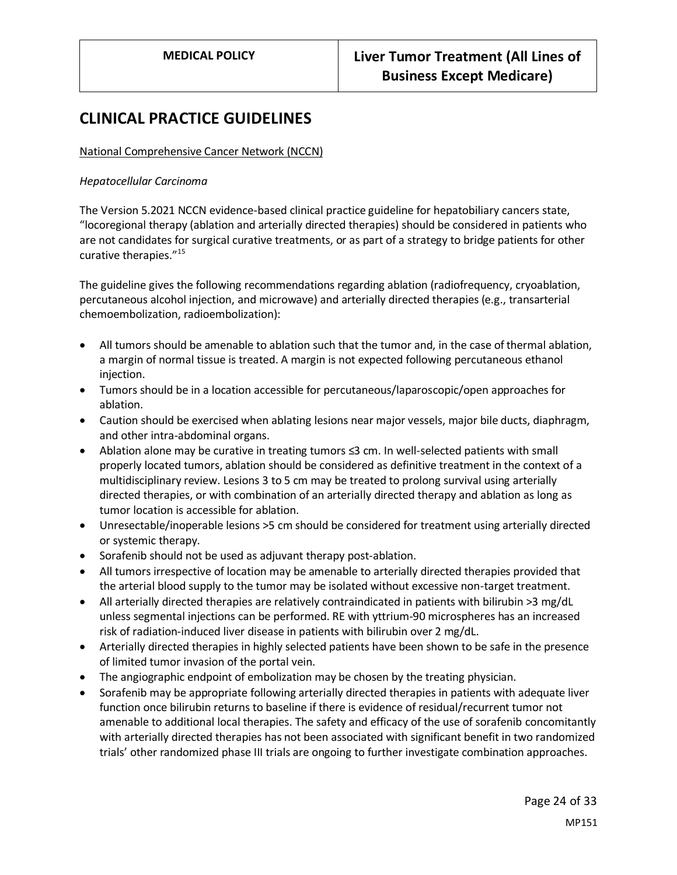## **CLINICAL PRACTICE GUIDELINES**

#### National Comprehensive Cancer Network (NCCN)

#### *Hepatocellular Carcinoma*

The Version 5.2021 NCCN evidence-based clinical practice guideline for hepatobiliary cancers state, "locoregional therapy (ablation and arterially directed therapies) should be considered in patients who are not candidates for surgical curative treatments, or as part of a strategy to bridge patients for other curative therapies."<sup>15</sup>

The guideline gives the following recommendations regarding ablation (radiofrequency, cryoablation, percutaneous alcohol injection, and microwave) and arterially directed therapies (e.g., transarterial chemoembolization, radioembolization):

- All tumors should be amenable to ablation such that the tumor and, in the case of thermal ablation, a margin of normal tissue is treated. A margin is not expected following percutaneous ethanol injection.
- Tumors should be in a location accessible for percutaneous/laparoscopic/open approaches for ablation.
- Caution should be exercised when ablating lesions near major vessels, major bile ducts, diaphragm, and other intra-abdominal organs.
- Ablation alone may be curative in treating tumors ≤3 cm. In well-selected patients with small properly located tumors, ablation should be considered as definitive treatment in the context of a multidisciplinary review. Lesions 3 to 5 cm may be treated to prolong survival using arterially directed therapies, or with combination of an arterially directed therapy and ablation as long as tumor location is accessible for ablation.
- Unresectable/inoperable lesions >5 cm should be considered for treatment using arterially directed or systemic therapy.
- Sorafenib should not be used as adjuvant therapy post-ablation.
- All tumors irrespective of location may be amenable to arterially directed therapies provided that the arterial blood supply to the tumor may be isolated without excessive non-target treatment.
- All arterially directed therapies are relatively contraindicated in patients with bilirubin >3 mg/dL unless segmental injections can be performed. RE with yttrium-90 microspheres has an increased risk of radiation-induced liver disease in patients with bilirubin over 2 mg/dL.
- Arterially directed therapies in highly selected patients have been shown to be safe in the presence of limited tumor invasion of the portal vein.
- The angiographic endpoint of embolization may be chosen by the treating physician.
- Sorafenib may be appropriate following arterially directed therapies in patients with adequate liver function once bilirubin returns to baseline if there is evidence of residual/recurrent tumor not amenable to additional local therapies. The safety and efficacy of the use of sorafenib concomitantly with arterially directed therapies has not been associated with significant benefit in two randomized trials' other randomized phase III trials are ongoing to further investigate combination approaches.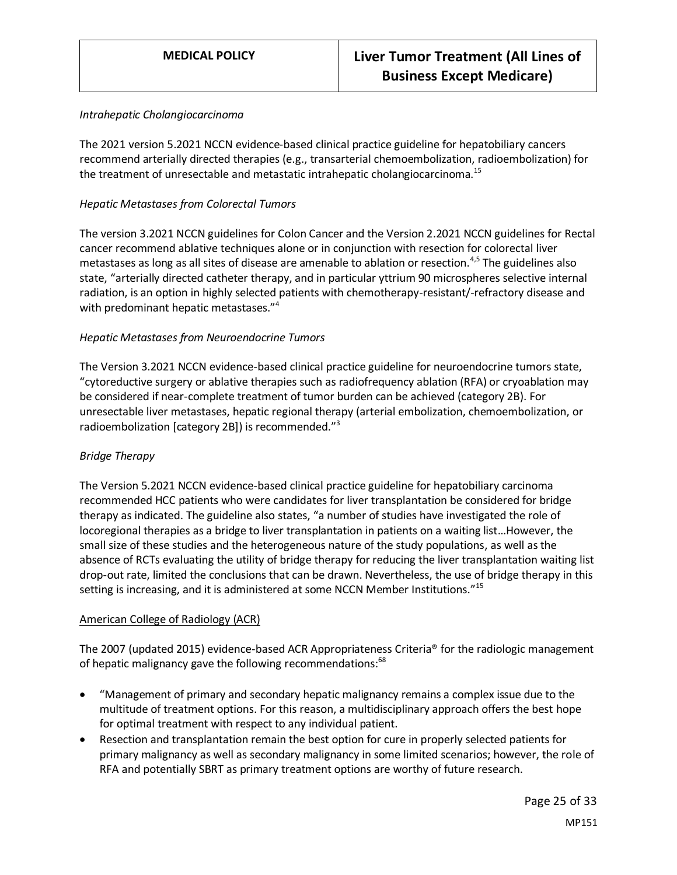#### *Intrahepatic Cholangiocarcinoma*

The 2021 version 5.2021 NCCN evidence-based clinical practice guideline for hepatobiliary cancers recommend arterially directed therapies (e.g., transarterial chemoembolization, radioembolization) for the treatment of unresectable and metastatic intrahepatic cholangiocarcinoma.<sup>15</sup>

#### *Hepatic Metastases from Colorectal Tumors*

The version 3.2021 NCCN guidelines for Colon Cancer and the Version 2.2021 NCCN guidelines for Rectal cancer recommend ablative techniques alone or in conjunction with resection for colorectal liver metastases as long as all sites of disease are amenable to ablation or resection.4,5 The guidelines also state, "arterially directed catheter therapy, and in particular yttrium 90 microspheres selective internal radiation, is an option in highly selected patients with chemotherapy-resistant/-refractory disease and with predominant hepatic metastases."<sup>4</sup>

#### *Hepatic Metastases from Neuroendocrine Tumors*

The Version 3.2021 NCCN evidence-based clinical practice guideline for neuroendocrine tumors state, "cytoreductive surgery or ablative therapies such as radiofrequency ablation (RFA) or cryoablation may be considered if near-complete treatment of tumor burden can be achieved (category 2B). For unresectable liver metastases, hepatic regional therapy (arterial embolization, chemoembolization, or radioembolization [category 2B]) is recommended."<sup>3</sup>

#### *Bridge Therapy*

The Version 5.2021 NCCN evidence-based clinical practice guideline for hepatobiliary carcinoma recommended HCC patients who were candidates for liver transplantation be considered for bridge therapy as indicated. The guideline also states, "a number of studies have investigated the role of locoregional therapies as a bridge to liver transplantation in patients on a waiting list…However, the small size of these studies and the heterogeneous nature of the study populations, as well as the absence of RCTs evaluating the utility of bridge therapy for reducing the liver transplantation waiting list drop-out rate, limited the conclusions that can be drawn. Nevertheless, the use of bridge therapy in this setting is increasing, and it is administered at some NCCN Member Institutions."<sup>15</sup>

#### American College of Radiology (ACR)

The 2007 (updated 2015) evidence-based ACR Appropriateness Criteria® for the radiologic management of hepatic malignancy gave the following recommendations:<sup>68</sup>

- "Management of primary and secondary hepatic malignancy remains a complex issue due to the multitude of treatment options. For this reason, a multidisciplinary approach offers the best hope for optimal treatment with respect to any individual patient.
- Resection and transplantation remain the best option for cure in properly selected patients for primary malignancy as well as secondary malignancy in some limited scenarios; however, the role of RFA and potentially SBRT as primary treatment options are worthy of future research.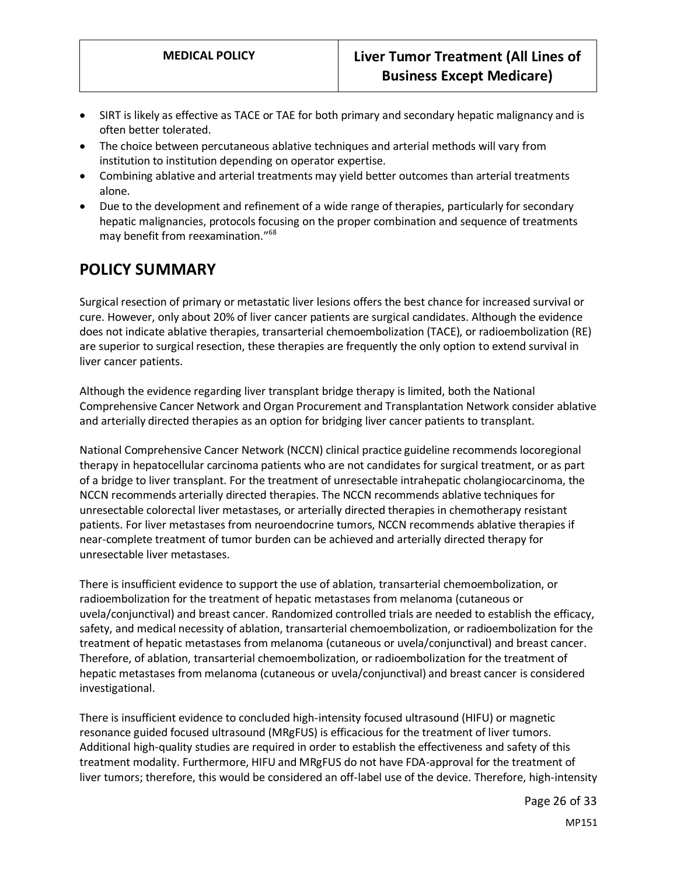- SIRT is likely as effective as TACE or TAE for both primary and secondary hepatic malignancy and is often better tolerated.
- The choice between percutaneous ablative techniques and arterial methods will vary from institution to institution depending on operator expertise.
- Combining ablative and arterial treatments may yield better outcomes than arterial treatments alone.
- Due to the development and refinement of a wide range of therapies, particularly for secondary hepatic malignancies, protocols focusing on the proper combination and sequence of treatments may benefit from reexamination." 68

## <span id="page-25-0"></span>**POLICY SUMMARY**

Surgical resection of primary or metastatic liver lesions offers the best chance for increased survival or cure. However, only about 20% of liver cancer patients are surgical candidates. Although the evidence does not indicate ablative therapies, transarterial chemoembolization (TACE), or radioembolization (RE) are superior to surgical resection, these therapies are frequently the only option to extend survival in liver cancer patients.

Although the evidence regarding liver transplant bridge therapy is limited, both the National Comprehensive Cancer Network and Organ Procurement and Transplantation Network consider ablative and arterially directed therapies as an option for bridging liver cancer patients to transplant.

National Comprehensive Cancer Network (NCCN) clinical practice guideline recommends locoregional therapy in hepatocellular carcinoma patients who are not candidates for surgical treatment, or as part of a bridge to liver transplant. For the treatment of unresectable intrahepatic cholangiocarcinoma, the NCCN recommends arterially directed therapies. The NCCN recommends ablative techniques for unresectable colorectal liver metastases, or arterially directed therapies in chemotherapy resistant patients. For liver metastases from neuroendocrine tumors, NCCN recommends ablative therapies if near-complete treatment of tumor burden can be achieved and arterially directed therapy for unresectable liver metastases.

There is insufficient evidence to support the use of ablation, transarterial chemoembolization, or radioembolization for the treatment of hepatic metastases from melanoma (cutaneous or uvela/conjunctival) and breast cancer. Randomized controlled trials are needed to establish the efficacy, safety, and medical necessity of ablation, transarterial chemoembolization, or radioembolization for the treatment of hepatic metastases from melanoma (cutaneous or uvela/conjunctival) and breast cancer. Therefore, of ablation, transarterial chemoembolization, or radioembolization for the treatment of hepatic metastases from melanoma (cutaneous or uvela/conjunctival) and breast cancer is considered investigational.

There is insufficient evidence to concluded high-intensity focused ultrasound (HIFU) or magnetic resonance guided focused ultrasound (MRgFUS) is efficacious for the treatment of liver tumors. Additional high-quality studies are required in order to establish the effectiveness and safety of this treatment modality. Furthermore, HIFU and MRgFUS do not have FDA-approval for the treatment of liver tumors; therefore, this would be considered an off-label use of the device. Therefore, high-intensity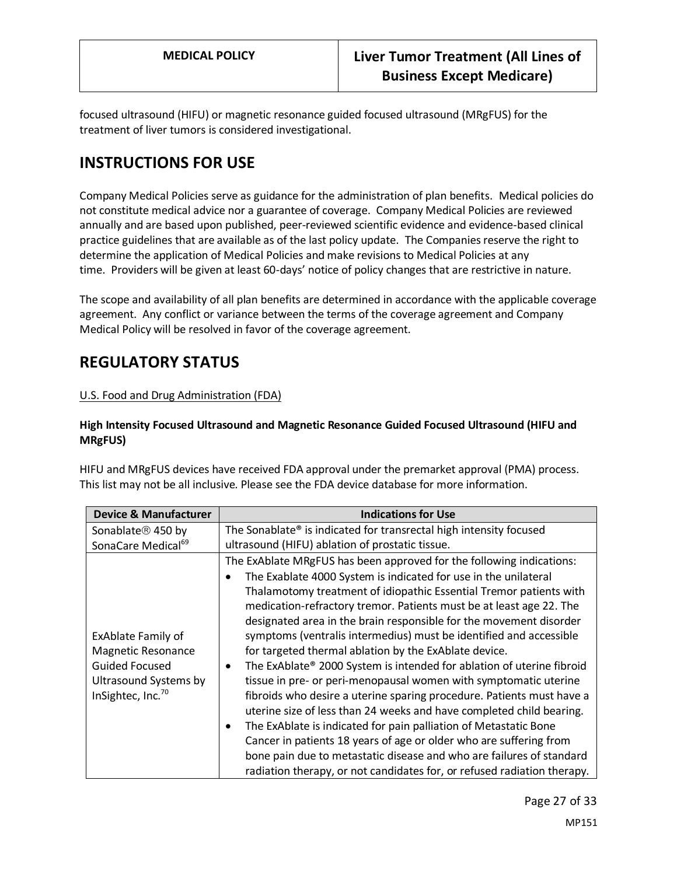focused ultrasound (HIFU) or magnetic resonance guided focused ultrasound (MRgFUS) for the treatment of liver tumors is considered investigational.

# **INSTRUCTIONS FOR USE**

Company Medical Policies serve as guidance for the administration of plan benefits. Medical policies do not constitute medical advice nor a guarantee of coverage. Company Medical Policies are reviewed annually and are based upon published, peer-reviewed scientific evidence and evidence-based clinical practice guidelines that are available as of the last policy update. The Companies reserve the right to determine the application of Medical Policies and make revisions to Medical Policies at any time. Providers will be given at least 60-days' notice of policy changes that are restrictive in nature.

The scope and availability of all plan benefits are determined in accordance with the applicable coverage agreement. Any conflict or variance between the terms of the coverage agreement and Company Medical Policy will be resolved in favor of the coverage agreement.

# **REGULATORY STATUS**

#### U.S. Food and Drug Administration (FDA)

#### **High Intensity Focused Ultrasound and Magnetic Resonance Guided Focused Ultrasound (HIFU and MRgFUS)**

HIFU and MRgFUS devices have received FDA approval under the premarket approval (PMA) process. This list may not be all inclusive. Please see the FDA device database for more information.

| <b>Device &amp; Manufacturer</b>                                                                                                          | <b>Indications for Use</b>                                                                                                                                                                                                                                                                                                                                                                                                                                                                                                                                                                                                                                                                                                                                                                                                                                                                                                        |
|-------------------------------------------------------------------------------------------------------------------------------------------|-----------------------------------------------------------------------------------------------------------------------------------------------------------------------------------------------------------------------------------------------------------------------------------------------------------------------------------------------------------------------------------------------------------------------------------------------------------------------------------------------------------------------------------------------------------------------------------------------------------------------------------------------------------------------------------------------------------------------------------------------------------------------------------------------------------------------------------------------------------------------------------------------------------------------------------|
| Sonablate <sup>®</sup> 450 by                                                                                                             | The Sonablate® is indicated for transrectal high intensity focused                                                                                                                                                                                                                                                                                                                                                                                                                                                                                                                                                                                                                                                                                                                                                                                                                                                                |
| SonaCare Medical <sup>69</sup>                                                                                                            | ultrasound (HIFU) ablation of prostatic tissue.                                                                                                                                                                                                                                                                                                                                                                                                                                                                                                                                                                                                                                                                                                                                                                                                                                                                                   |
| <b>ExAblate Family of</b><br><b>Magnetic Resonance</b><br><b>Guided Focused</b><br>Ultrasound Systems by<br>InSightec, Inc. <sup>70</sup> | The ExAblate MRgFUS has been approved for the following indications:<br>The Exablate 4000 System is indicated for use in the unilateral<br>Thalamotomy treatment of idiopathic Essential Tremor patients with<br>medication-refractory tremor. Patients must be at least age 22. The<br>designated area in the brain responsible for the movement disorder<br>symptoms (ventralis intermedius) must be identified and accessible<br>for targeted thermal ablation by the ExAblate device.<br>The ExAblate® 2000 System is intended for ablation of uterine fibroid<br>tissue in pre- or peri-menopausal women with symptomatic uterine<br>fibroids who desire a uterine sparing procedure. Patients must have a<br>uterine size of less than 24 weeks and have completed child bearing.<br>The ExAblate is indicated for pain palliation of Metastatic Bone<br>Cancer in patients 18 years of age or older who are suffering from |
|                                                                                                                                           | bone pain due to metastatic disease and who are failures of standard<br>radiation therapy, or not candidates for, or refused radiation therapy.                                                                                                                                                                                                                                                                                                                                                                                                                                                                                                                                                                                                                                                                                                                                                                                   |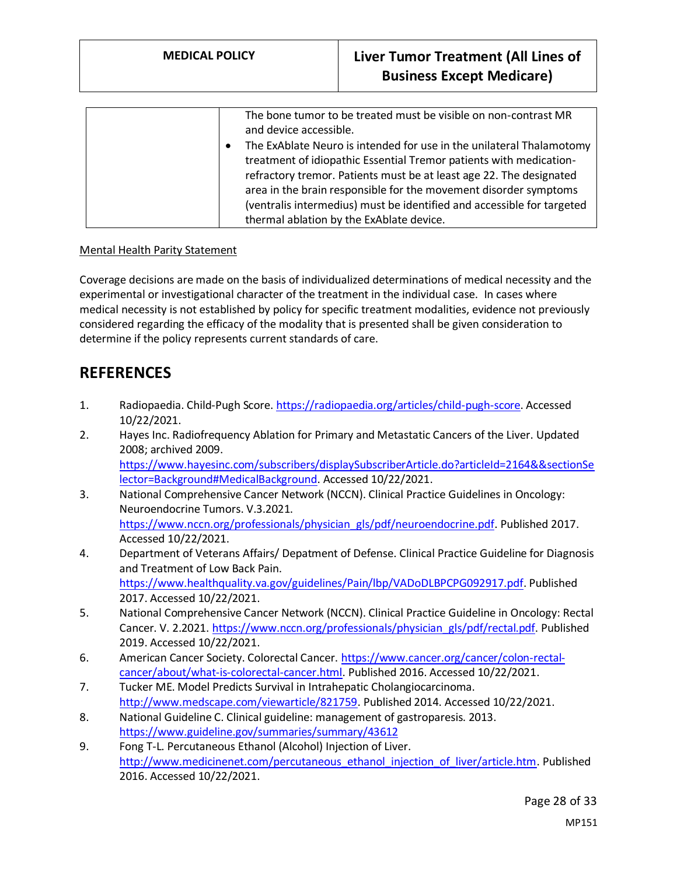| The bone tumor to be treated must be visible on non-contrast MR<br>and device accessible.                                                  |
|--------------------------------------------------------------------------------------------------------------------------------------------|
| The ExAblate Neuro is intended for use in the unilateral Thalamotomy<br>treatment of idiopathic Essential Tremor patients with medication- |
|                                                                                                                                            |
| refractory tremor. Patients must be at least age 22. The designated                                                                        |
| area in the brain responsible for the movement disorder symptoms                                                                           |
| (ventralis intermedius) must be identified and accessible for targeted                                                                     |
| thermal ablation by the ExAblate device.                                                                                                   |

#### Mental Health Parity Statement

Coverage decisions are made on the basis of individualized determinations of medical necessity and the experimental or investigational character of the treatment in the individual case. In cases where medical necessity is not established by policy for specific treatment modalities, evidence not previously considered regarding the efficacy of the modality that is presented shall be given consideration to determine if the policy represents current standards of care.

## **REFERENCES**

- 1. Radiopaedia. Child-Pugh Score[. https://radiopaedia.org/articles/child-pugh-score.](https://radiopaedia.org/articles/child-pugh-score) Accessed 10/22/2021.
- 2. Hayes Inc. Radiofrequency Ablation for Primary and Metastatic Cancers of the Liver. Updated 2008; archived 2009. [https://www.hayesinc.com/subscribers/displaySubscriberArticle.do?articleId=2164&&sectionSe](https://www.hayesinc.com/subscribers/displaySubscriberArticle.do?articleId=2164&§ionSelector=Background#MedicalBackground) [lector=Background#MedicalBackground.](https://www.hayesinc.com/subscribers/displaySubscriberArticle.do?articleId=2164&§ionSelector=Background#MedicalBackground) Accessed 10/22/2021.
- 3. National Comprehensive Cancer Network (NCCN). Clinical Practice Guidelines in Oncology: Neuroendocrine Tumors. V.3.2021. [https://www.nccn.org/professionals/physician\\_gls/pdf/neuroendocrine.pdf.](https://www.nccn.org/professionals/physician_gls/pdf/neuroendocrine.pdf) Published 2017. Accessed 10/22/2021.
- 4. Department of Veterans Affairs/ Depatment of Defense. Clinical Practice Guideline for Diagnosis and Treatment of Low Back Pain. [https://www.healthquality.va.gov/guidelines/Pain/lbp/VADoDLBPCPG092917.pdf.](https://www.healthquality.va.gov/guidelines/Pain/lbp/VADoDLBPCPG092917.pdf) Published 2017. Accessed 10/22/2021.
- 5. National Comprehensive Cancer Network (NCCN). Clinical Practice Guideline in Oncology: Rectal Cancer. V. 2.2021[. https://www.nccn.org/professionals/physician\\_gls/pdf/rectal.pdf.](https://www.nccn.org/professionals/physician_gls/pdf/rectal.pdf) Published 2019. Accessed 10/22/2021.
- 6. American Cancer Society. Colorectal Cancer. [https://www.cancer.org/cancer/colon-rectal](https://www.cancer.org/cancer/colon-rectal-cancer/about/what-is-colorectal-cancer.html)[cancer/about/what-is-colorectal-cancer.html.](https://www.cancer.org/cancer/colon-rectal-cancer/about/what-is-colorectal-cancer.html) Published 2016. Accessed 10/22/2021.
- 7. Tucker ME. Model Predicts Survival in Intrahepatic Cholangiocarcinoma. [http://www.medscape.com/viewarticle/821759.](http://www.medscape.com/viewarticle/821759) Published 2014. Accessed 10/22/2021.
- 8. National Guideline C. Clinical guideline: management of gastroparesis. 2013. <https://www.guideline.gov/summaries/summary/43612>
- 9. Fong T-L. Percutaneous Ethanol (Alcohol) Injection of Liver. [http://www.medicinenet.com/percutaneous\\_ethanol\\_injection\\_of\\_liver/article.htm.](http://www.medicinenet.com/percutaneous_ethanol_injection_of_liver/article.htm) Published 2016. Accessed 10/22/2021.

Page 28 of 33 MP151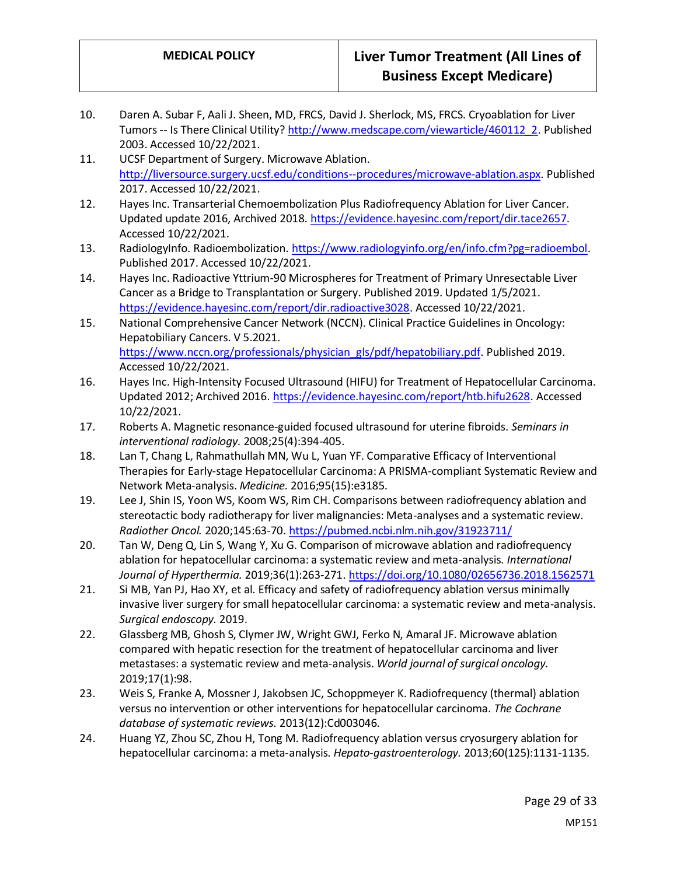- 10. Daren A. Subar F, Aali J. Sheen, MD, FRCS, David J. Sherlock, MS, FRCS. Cryoablation for Liver Tumors -- Is There Clinical Utility? [http://www.medscape.com/viewarticle/460112\\_2.](http://www.medscape.com/viewarticle/460112_2) Published 2003. Accessed 10/22/2021.
- 11. UCSF Department of Surgery. Microwave Ablation. [http://liversource.surgery.ucsf.edu/conditions--procedures/microwave-ablation.aspx.](http://liversource.surgery.ucsf.edu/conditions--procedures/microwave-ablation.aspx) Published 2017. Accessed 10/22/2021.
- 12. Hayes Inc. Transarterial Chemoembolization Plus Radiofrequency Ablation for Liver Cancer. Updated update 2016, Archived 2018[. https://evidence.hayesinc.com/report/dir.tace2657.](https://evidence.hayesinc.com/report/dir.tace2657) Accessed 10/22/2021.
- 13. RadiologyInfo. Radioembolization[. https://www.radiologyinfo.org/en/info.cfm?pg=radioembol.](https://www.radiologyinfo.org/en/info.cfm?pg=radioembol) Published 2017. Accessed 10/22/2021.
- 14. Hayes Inc. Radioactive Yttrium-90 Microspheres for Treatment of Primary Unresectable Liver Cancer as a Bridge to Transplantation or Surgery. Published 2019. Updated 1/5/2021. [https://evidence.hayesinc.com/report/dir.radioactive3028.](https://evidence.hayesinc.com/report/dir.radioactive3028) Accessed 10/22/2021.
- 15. National Comprehensive Cancer Network (NCCN). Clinical Practice Guidelines in Oncology: Hepatobiliary Cancers. V 5.2021. [https://www.nccn.org/professionals/physician\\_gls/pdf/hepatobiliary.pdf.](https://www.nccn.org/professionals/physician_gls/pdf/hepatobiliary.pdf) Published 2019. Accessed 10/22/2021.
- 16. Hayes Inc. High-Intensity Focused Ultrasound (HIFU) for Treatment of Hepatocellular Carcinoma. Updated 2012; Archived 2016[. https://evidence.hayesinc.com/report/htb.hifu2628.](https://evidence.hayesinc.com/report/htb.hifu2628) Accessed 10/22/2021.
- 17. Roberts A. Magnetic resonance-guided focused ultrasound for uterine fibroids. *Seminars in interventional radiology.* 2008;25(4):394-405.
- 18. Lan T, Chang L, Rahmathullah MN, Wu L, Yuan YF. Comparative Efficacy of Interventional Therapies for Early-stage Hepatocellular Carcinoma: A PRISMA-compliant Systematic Review and Network Meta-analysis. *Medicine.* 2016;95(15):e3185.
- 19. Lee J, Shin IS, Yoon WS, Koom WS, Rim CH. Comparisons between radiofrequency ablation and stereotactic body radiotherapy for liver malignancies: Meta-analyses and a systematic review. *Radiother Oncol.* 2020;145:63-70.<https://pubmed.ncbi.nlm.nih.gov/31923711/>
- 20. Tan W, Deng Q, Lin S, Wang Y, Xu G. Comparison of microwave ablation and radiofrequency ablation for hepatocellular carcinoma: a systematic review and meta-analysis. *International Journal of Hyperthermia.* 2019;36(1):263-271.<https://doi.org/10.1080/02656736.2018.1562571>
- 21. Si MB, Yan PJ, Hao XY, et al. Efficacy and safety of radiofrequency ablation versus minimally invasive liver surgery for small hepatocellular carcinoma: a systematic review and meta-analysis. *Surgical endoscopy.* 2019.
- 22. Glassberg MB, Ghosh S, Clymer JW, Wright GWJ, Ferko N, Amaral JF. Microwave ablation compared with hepatic resection for the treatment of hepatocellular carcinoma and liver metastases: a systematic review and meta-analysis. *World journal of surgical oncology.*  2019;17(1):98.
- 23. Weis S, Franke A, Mossner J, Jakobsen JC, Schoppmeyer K. Radiofrequency (thermal) ablation versus no intervention or other interventions for hepatocellular carcinoma. *The Cochrane database of systematic reviews.* 2013(12):Cd003046.
- 24. Huang YZ, Zhou SC, Zhou H, Tong M. Radiofrequency ablation versus cryosurgery ablation for hepatocellular carcinoma: a meta-analysis. *Hepato-gastroenterology.* 2013;60(125):1131-1135.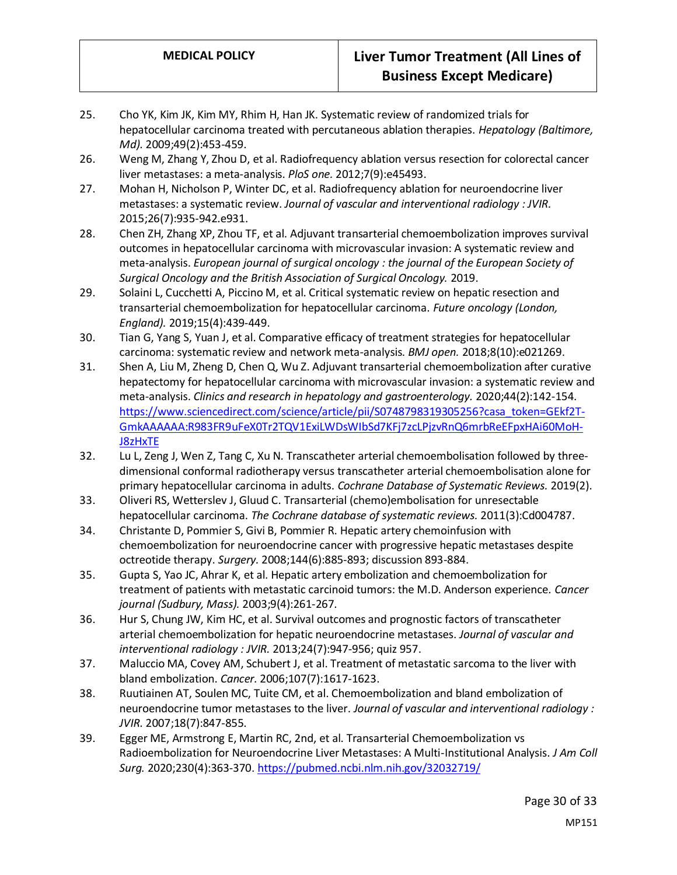- 25. Cho YK, Kim JK, Kim MY, Rhim H, Han JK. Systematic review of randomized trials for hepatocellular carcinoma treated with percutaneous ablation therapies. *Hepatology (Baltimore, Md).* 2009;49(2):453-459.
- 26. Weng M, Zhang Y, Zhou D, et al. Radiofrequency ablation versus resection for colorectal cancer liver metastases: a meta-analysis. *PloS one.* 2012;7(9):e45493.
- 27. Mohan H, Nicholson P, Winter DC, et al. Radiofrequency ablation for neuroendocrine liver metastases: a systematic review. *Journal of vascular and interventional radiology : JVIR.*  2015;26(7):935-942.e931.
- 28. Chen ZH, Zhang XP, Zhou TF, et al. Adjuvant transarterial chemoembolization improves survival outcomes in hepatocellular carcinoma with microvascular invasion: A systematic review and meta-analysis. *European journal of surgical oncology : the journal of the European Society of Surgical Oncology and the British Association of Surgical Oncology.* 2019.
- 29. Solaini L, Cucchetti A, Piccino M, et al. Critical systematic review on hepatic resection and transarterial chemoembolization for hepatocellular carcinoma. *Future oncology (London, England).* 2019;15(4):439-449.
- 30. Tian G, Yang S, Yuan J, et al. Comparative efficacy of treatment strategies for hepatocellular carcinoma: systematic review and network meta-analysis. *BMJ open.* 2018;8(10):e021269.
- 31. Shen A, Liu M, Zheng D, Chen Q, Wu Z. Adjuvant transarterial chemoembolization after curative hepatectomy for hepatocellular carcinoma with microvascular invasion: a systematic review and meta-analysis. *Clinics and research in hepatology and gastroenterology.* 2020;44(2):142-154. [https://www.sciencedirect.com/science/article/pii/S0748798319305256?casa\\_token=GEkf2T-](https://www.sciencedirect.com/science/article/pii/S0748798319305256?casa_token=GEkf2T-GmkAAAAAA:R983FR9uFeX0Tr2TQV1ExiLWDsWIbSd7KFj7zcLPjzvRnQ6mrbReEFpxHAi60MoH-J8zHxTE)[GmkAAAAAA:R983FR9uFeX0Tr2TQV1ExiLWDsWIbSd7KFj7zcLPjzvRnQ6mrbReEFpxHAi60MoH-](https://www.sciencedirect.com/science/article/pii/S0748798319305256?casa_token=GEkf2T-GmkAAAAAA:R983FR9uFeX0Tr2TQV1ExiLWDsWIbSd7KFj7zcLPjzvRnQ6mrbReEFpxHAi60MoH-J8zHxTE)[J8zHxTE](https://www.sciencedirect.com/science/article/pii/S0748798319305256?casa_token=GEkf2T-GmkAAAAAA:R983FR9uFeX0Tr2TQV1ExiLWDsWIbSd7KFj7zcLPjzvRnQ6mrbReEFpxHAi60MoH-J8zHxTE)
- 32. Lu L, Zeng J, Wen Z, Tang C, Xu N. Transcatheter arterial chemoembolisation followed by threedimensional conformal radiotherapy versus transcatheter arterial chemoembolisation alone for primary hepatocellular carcinoma in adults. *Cochrane Database of Systematic Reviews.* 2019(2).
- 33. Oliveri RS, Wetterslev J, Gluud C. Transarterial (chemo)embolisation for unresectable hepatocellular carcinoma. *The Cochrane database of systematic reviews.* 2011(3):Cd004787.
- 34. Christante D, Pommier S, Givi B, Pommier R. Hepatic artery chemoinfusion with chemoembolization for neuroendocrine cancer with progressive hepatic metastases despite octreotide therapy. *Surgery.* 2008;144(6):885-893; discussion 893-884.
- 35. Gupta S, Yao JC, Ahrar K, et al. Hepatic artery embolization and chemoembolization for treatment of patients with metastatic carcinoid tumors: the M.D. Anderson experience. *Cancer journal (Sudbury, Mass).* 2003;9(4):261-267.
- 36. Hur S, Chung JW, Kim HC, et al. Survival outcomes and prognostic factors of transcatheter arterial chemoembolization for hepatic neuroendocrine metastases. *Journal of vascular and interventional radiology : JVIR.* 2013;24(7):947-956; quiz 957.
- 37. Maluccio MA, Covey AM, Schubert J, et al. Treatment of metastatic sarcoma to the liver with bland embolization. *Cancer.* 2006;107(7):1617-1623.
- 38. Ruutiainen AT, Soulen MC, Tuite CM, et al. Chemoembolization and bland embolization of neuroendocrine tumor metastases to the liver. *Journal of vascular and interventional radiology : JVIR.* 2007;18(7):847-855.
- 39. Egger ME, Armstrong E, Martin RC, 2nd, et al. Transarterial Chemoembolization vs Radioembolization for Neuroendocrine Liver Metastases: A Multi-Institutional Analysis. *J Am Coll Surg.* 2020;230(4):363-370[. https://pubmed.ncbi.nlm.nih.gov/32032719/](https://pubmed.ncbi.nlm.nih.gov/32032719/)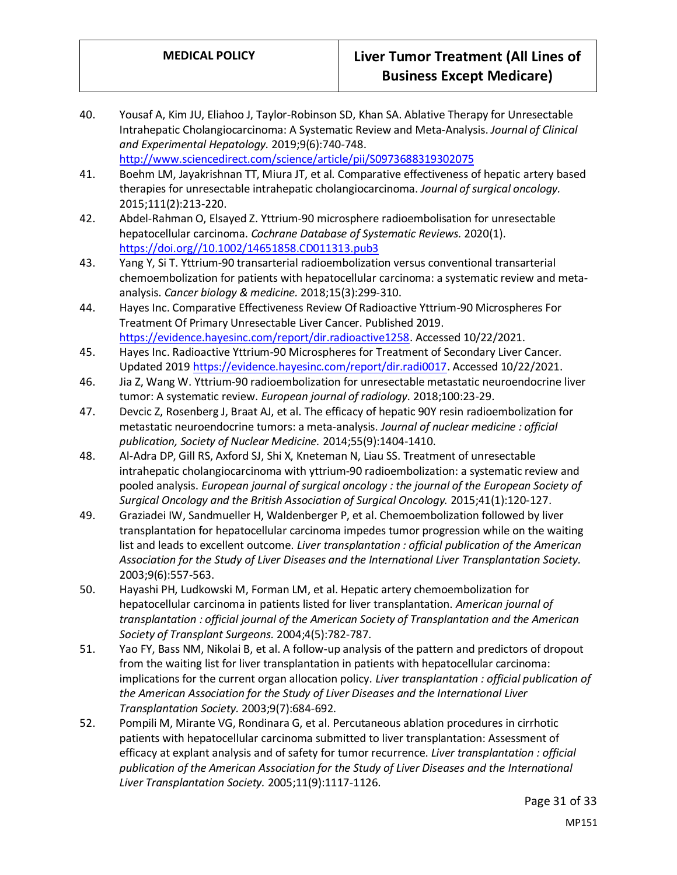- 40. Yousaf A, Kim JU, Eliahoo J, Taylor-Robinson SD, Khan SA. Ablative Therapy for Unresectable Intrahepatic Cholangiocarcinoma: A Systematic Review and Meta-Analysis. *Journal of Clinical and Experimental Hepatology.* 2019;9(6):740-748. <http://www.sciencedirect.com/science/article/pii/S0973688319302075>
- 41. Boehm LM, Jayakrishnan TT, Miura JT, et al. Comparative effectiveness of hepatic artery based therapies for unresectable intrahepatic cholangiocarcinoma. *Journal of surgical oncology.*  2015;111(2):213-220.
- 42. Abdel‐Rahman O, Elsayed Z. Yttrium‐90 microsphere radioembolisation for unresectable hepatocellular carcinoma. *Cochrane Database of Systematic Reviews.* 2020(1). [https://doi.org//10.1002/14651858.CD011313.pub3](https://doi.org/10.1002/14651858.CD011313.pub3)
- 43. Yang Y, Si T. Yttrium-90 transarterial radioembolization versus conventional transarterial chemoembolization for patients with hepatocellular carcinoma: a systematic review and metaanalysis. *Cancer biology & medicine.* 2018;15(3):299-310.
- 44. Hayes Inc. Comparative Effectiveness Review Of Radioactive Yttrium-90 Microspheres For Treatment Of Primary Unresectable Liver Cancer. Published 2019. [https://evidence.hayesinc.com/report/dir.radioactive1258.](https://evidence.hayesinc.com/report/dir.radioactive1258) Accessed 10/22/2021.
- 45. Hayes Inc. Radioactive Yttrium-90 Microspheres for Treatment of Secondary Liver Cancer. Updated 201[9 https://evidence.hayesinc.com/report/dir.radi0017.](https://evidence.hayesinc.com/report/dir.radi0017) Accessed 10/22/2021.
- 46. Jia Z, Wang W. Yttrium-90 radioembolization for unresectable metastatic neuroendocrine liver tumor: A systematic review. *European journal of radiology.* 2018;100:23-29.
- 47. Devcic Z, Rosenberg J, Braat AJ, et al. The efficacy of hepatic 90Y resin radioembolization for metastatic neuroendocrine tumors: a meta-analysis. *Journal of nuclear medicine : official publication, Society of Nuclear Medicine.* 2014;55(9):1404-1410.
- 48. Al-Adra DP, Gill RS, Axford SJ, Shi X, Kneteman N, Liau SS. Treatment of unresectable intrahepatic cholangiocarcinoma with yttrium-90 radioembolization: a systematic review and pooled analysis. *European journal of surgical oncology : the journal of the European Society of Surgical Oncology and the British Association of Surgical Oncology.* 2015;41(1):120-127.
- 49. Graziadei IW, Sandmueller H, Waldenberger P, et al. Chemoembolization followed by liver transplantation for hepatocellular carcinoma impedes tumor progression while on the waiting list and leads to excellent outcome. *Liver transplantation : official publication of the American Association for the Study of Liver Diseases and the International Liver Transplantation Society.*  2003;9(6):557-563.
- 50. Hayashi PH, Ludkowski M, Forman LM, et al. Hepatic artery chemoembolization for hepatocellular carcinoma in patients listed for liver transplantation. *American journal of transplantation : official journal of the American Society of Transplantation and the American Society of Transplant Surgeons.* 2004;4(5):782-787.
- 51. Yao FY, Bass NM, Nikolai B, et al. A follow-up analysis of the pattern and predictors of dropout from the waiting list for liver transplantation in patients with hepatocellular carcinoma: implications for the current organ allocation policy. *Liver transplantation : official publication of the American Association for the Study of Liver Diseases and the International Liver Transplantation Society.* 2003;9(7):684-692.
- 52. Pompili M, Mirante VG, Rondinara G, et al. Percutaneous ablation procedures in cirrhotic patients with hepatocellular carcinoma submitted to liver transplantation: Assessment of efficacy at explant analysis and of safety for tumor recurrence. *Liver transplantation : official publication of the American Association for the Study of Liver Diseases and the International Liver Transplantation Society.* 2005;11(9):1117-1126.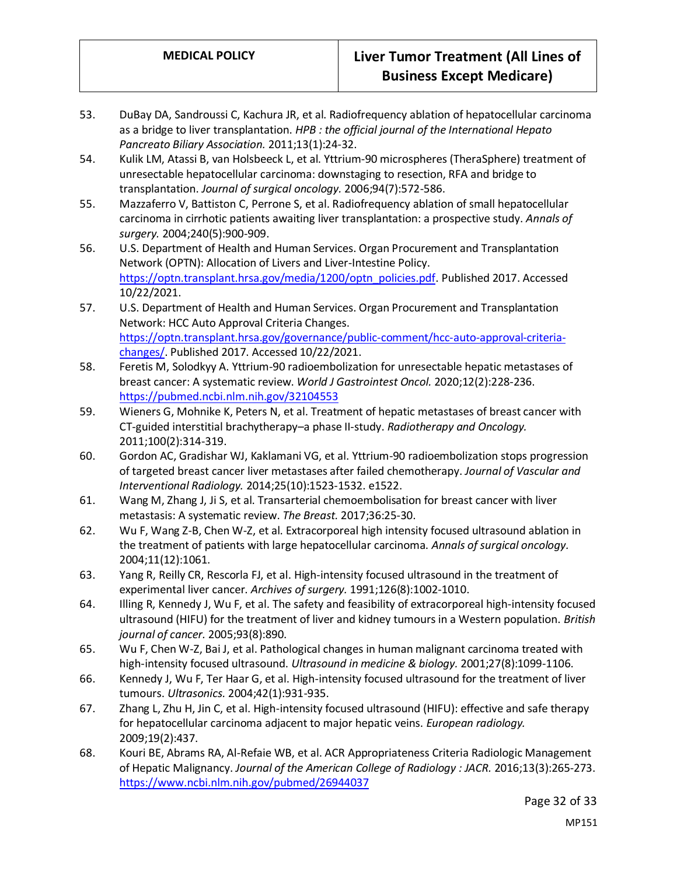- 53. DuBay DA, Sandroussi C, Kachura JR, et al. Radiofrequency ablation of hepatocellular carcinoma as a bridge to liver transplantation. *HPB : the official journal of the International Hepato Pancreato Biliary Association.* 2011;13(1):24-32.
- 54. Kulik LM, Atassi B, van Holsbeeck L, et al. Yttrium-90 microspheres (TheraSphere) treatment of unresectable hepatocellular carcinoma: downstaging to resection, RFA and bridge to transplantation. *Journal of surgical oncology.* 2006;94(7):572-586.
- 55. Mazzaferro V, Battiston C, Perrone S, et al. Radiofrequency ablation of small hepatocellular carcinoma in cirrhotic patients awaiting liver transplantation: a prospective study. *Annals of surgery.* 2004;240(5):900-909.
- 56. U.S. Department of Health and Human Services. Organ Procurement and Transplantation Network (OPTN): Allocation of Livers and Liver-Intestine Policy. [https://optn.transplant.hrsa.gov/media/1200/optn\\_policies.pdf.](https://optn.transplant.hrsa.gov/media/1200/optn_policies.pdf) Published 2017. Accessed 10/22/2021.
- 57. U.S. Department of Health and Human Services. Organ Procurement and Transplantation Network: HCC Auto Approval Criteria Changes. [https://optn.transplant.hrsa.gov/governance/public-comment/hcc-auto-approval-criteria](https://optn.transplant.hrsa.gov/governance/public-comment/hcc-auto-approval-criteria-changes/)[changes/.](https://optn.transplant.hrsa.gov/governance/public-comment/hcc-auto-approval-criteria-changes/) Published 2017. Accessed 10/22/2021.
- 58. Feretis M, Solodkyy A. Yttrium-90 radioembolization for unresectable hepatic metastases of breast cancer: A systematic review. *World J Gastrointest Oncol.* 2020;12(2):228-236. <https://pubmed.ncbi.nlm.nih.gov/32104553>
- 59. Wieners G, Mohnike K, Peters N, et al. Treatment of hepatic metastases of breast cancer with CT-guided interstitial brachytherapy–a phase II-study. *Radiotherapy and Oncology.*  2011;100(2):314-319.
- 60. Gordon AC, Gradishar WJ, Kaklamani VG, et al. Yttrium-90 radioembolization stops progression of targeted breast cancer liver metastases after failed chemotherapy. *Journal of Vascular and Interventional Radiology.* 2014;25(10):1523-1532. e1522.
- 61. Wang M, Zhang J, Ji S, et al. Transarterial chemoembolisation for breast cancer with liver metastasis: A systematic review. *The Breast.* 2017;36:25-30.
- 62. Wu F, Wang Z-B, Chen W-Z, et al. Extracorporeal high intensity focused ultrasound ablation in the treatment of patients with large hepatocellular carcinoma. *Annals of surgical oncology.*  2004;11(12):1061.
- 63. Yang R, Reilly CR, Rescorla FJ, et al. High-intensity focused ultrasound in the treatment of experimental liver cancer. *Archives of surgery.* 1991;126(8):1002-1010.
- 64. Illing R, Kennedy J, Wu F, et al. The safety and feasibility of extracorporeal high-intensity focused ultrasound (HIFU) for the treatment of liver and kidney tumours in a Western population. *British journal of cancer.* 2005;93(8):890.
- 65. Wu F, Chen W-Z, Bai J, et al. Pathological changes in human malignant carcinoma treated with high-intensity focused ultrasound. *Ultrasound in medicine & biology.* 2001;27(8):1099-1106.
- 66. Kennedy J, Wu F, Ter Haar G, et al. High-intensity focused ultrasound for the treatment of liver tumours. *Ultrasonics.* 2004;42(1):931-935.
- 67. Zhang L, Zhu H, Jin C, et al. High-intensity focused ultrasound (HIFU): effective and safe therapy for hepatocellular carcinoma adjacent to major hepatic veins. *European radiology.*  2009;19(2):437.
- 68. Kouri BE, Abrams RA, Al-Refaie WB, et al. ACR Appropriateness Criteria Radiologic Management of Hepatic Malignancy. *Journal of the American College of Radiology : JACR.* 2016;13(3):265-273. <https://www.ncbi.nlm.nih.gov/pubmed/26944037>